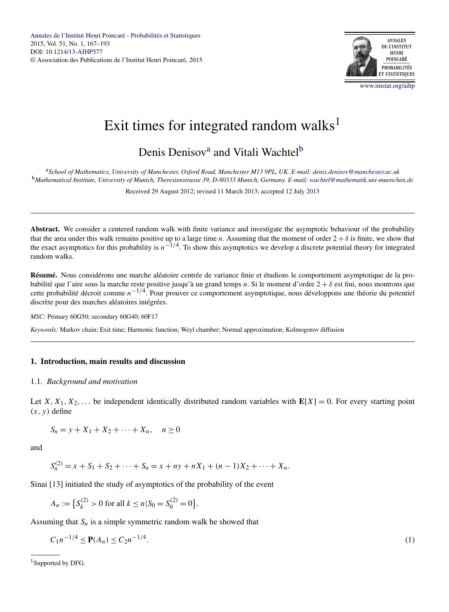

# <span id="page-0-0"></span>Exit times for integrated random walks<sup>1</sup>

# Denis Denisov<sup>a</sup> and Vitali Wachtel<sup>b</sup>

<sup>a</sup>*School of Mathematics, University of Manchester, Oxford Road, Manchester M13 9PL, UK. E-mail: [denis.denisov@manchester.ac.uk](mailto:denis.denisov@manchester.ac.uk)* <sup>b</sup>*Mathematical Institute, University of Munich, Theresienstrasse 39, D-80333 Munich, Germany. E-mail: [wachtel@mathematik.uni-muenchen.de](mailto:wachtel@mathematik.uni-muenchen.de)*

Received 29 August 2012; revised 11 March 2013; accepted 12 July 2013

**Abstract.** We consider a centered random walk with finite variance and investigate the asymptotic behaviour of the probability that the area under this walk remains positive up to a large time *n*. Assuming that the moment of order  $2 + \delta$  is finite, we show that the exact asymptotics for this probability is *n*−1*/*4. To show this asymptotics we develop a discrete potential theory for integrated random walks.

**Résumé.** Nous considérons une marche aléatoire centrée de variance finie et étudions le comportement asymptotique de la probabilité que l'aire sous la marche reste positive jusqu'à un grand temps *n*. Si le moment d'ordre 2 + *δ* est fini, nous montrons que cette probabilité décroit comme *n*−1*/*4. Pour prouver ce comportement asymptotique, nous développons une théorie du potentiel discrète pour des marches aléatoires intégrées.

*MSC:* Primary 60G50; secondary 60G40; 60F17

*Keywords:* Markov chain; Exit time; Harmonic function; Weyl chamber; Normal approximation; Kolmogorov diffusion

# **1. Introduction, main results and discussion**

#### 1.1. *Background and motivation*

Let  $X, X_1, X_2, \ldots$  be independent identically distributed random variables with  $E[X] = 0$ . For every starting point  $(x, y)$  define

$$
S_n = y + X_1 + X_2 + \dots + X_n, \quad n \ge 0
$$

and

$$
S_n^{(2)} = x + S_1 + S_2 + \dots + S_n = x + ny + nX_1 + (n-1)X_2 + \dots + X_n.
$$

Sinai [\[13\]](#page-26-0) initiated the study of asymptotics of the probability of the event

$$
A_n := \left\{ S_k^{(2)} > 0 \text{ for all } k \le n \, | S_0 = S_0^{(2)} = 0 \right\}.
$$

Assuming that  $S_n$  is a simple symmetric random walk he showed that

$$
C_1 n^{-1/4} \le \mathbf{P}(A_n) \le C_2 n^{-1/4}.\tag{1}
$$

<sup>1</sup>Supported by DFG.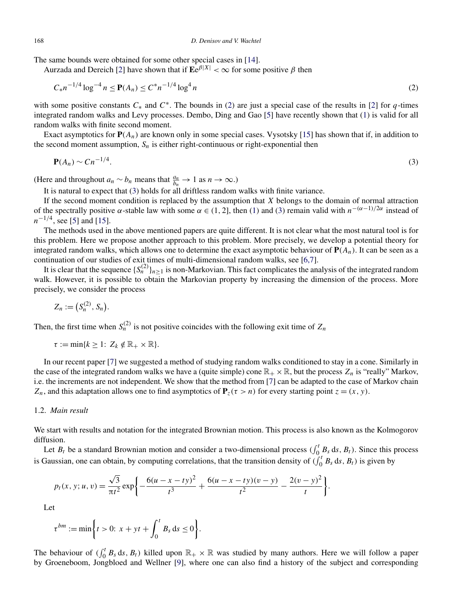<span id="page-1-0"></span>The same bounds were obtained for some other special cases in [\[14\]](#page-26-0).

Aurzada and Dereich [\[2\]](#page-25-0) have shown that if  $\mathbf{E}e^{\beta|X|} < \infty$  for some positive  $\beta$  then

$$
C_{*}n^{-1/4}\log^{-4} n \le \mathbf{P}(A_n) \le C^*n^{-1/4}\log^4 n \tag{2}
$$

with some positive constants *C*<sup>∗</sup> and *C*∗. The bounds in (2) are just a special case of the results in [\[2\]](#page-25-0) for *q*-times integrated random walks and Levy processes. Dembo, Ding and Gao [\[5\]](#page-25-0) have recently shown that [\(1\)](#page-0-0) is valid for all random walks with finite second moment.

Exact asymptotics for  $P(A_n)$  are known only in some special cases. Vysotsky [\[15\]](#page-26-0) has shown that if, in addition to the second moment assumption,  $S_n$  is either right-continuous or right-exponential then

$$
\mathbf{P}(A_n) \sim C n^{-1/4}.\tag{3}
$$

(Here and throughout  $a_n \sim b_n$  means that  $\frac{a_n}{b_n} \to 1$  as  $n \to \infty$ .)

It is natural to expect that (3) holds for all driftless random walks with finite variance.

If the second moment condition is replaced by the assumption that *X* belongs to the domain of normal attraction of the spectrally positive *α*-stable law with some *α* ∈ *(*1*,* 2], then [\(1\)](#page-0-0) and (3) remain valid with *n*−*(α*−1*)/*2*<sup>α</sup>* instead of *n*<sup>−1/4</sup>, see [\[5\]](#page-25-0) and [\[15\]](#page-26-0).

The methods used in the above mentioned papers are quite different. It is not clear what the most natural tool is for this problem. Here we propose another approach to this problem. More precisely, we develop a potential theory for integrated random walks, which allows one to determine the exact asymptotic behaviour of **P***(An)*. It can be seen as a continuation of our studies of exit times of multi-dimensional random walks, see [\[6,7\]](#page-25-0).

It is clear that the sequence  $\{S_n^{(2)}\}_{n\geq 1}$  is non-Markovian. This fact complicates the analysis of the integrated random walk. However, it is possible to obtain the Markovian property by increasing the dimension of the process. More precisely, we consider the process

$$
Z_n := (S_n^{(2)}, S_n).
$$

Then, the first time when  $S_n^{(2)}$  is not positive coincides with the following exit time of  $Z_n$ 

$$
\tau := \min\{k \geq 1: Z_k \notin \mathbb{R}_+ \times \mathbb{R}\}.
$$

In our recent paper [\[7\]](#page-25-0) we suggested a method of studying random walks conditioned to stay in a cone. Similarly in the case of the integrated random walks we have a (quite simple) cone  $\mathbb{R}_+ \times \mathbb{R}$ , but the process  $Z_n$  is "really" Markov, i.e. the increments are not independent. We show that the method from [\[7\]](#page-25-0) can be adapted to the case of Markov chain *Z<sub>n</sub>*, and this adaptation allows one to find asymptotics of  $P_z(\tau > n)$  for every starting point  $z = (x, y)$ .

#### 1.2. *Main result*

We start with results and notation for the integrated Brownian motion. This process is also known as the Kolmogorov diffusion.

Let  $B_t$  be a standard Brownian motion and consider a two-dimensional process  $(\int_0^t B_s ds, B_t)$ . Since this process is Gaussian, one can obtain, by computing correlations, that the transition density of  $\int_0^t B_s ds$ ,  $B_t$ ) is given by

$$
p_t(x, y; u, v) = \frac{\sqrt{3}}{\pi t^2} \exp\left\{-\frac{6(u - x - ty)^2}{t^3} + \frac{6(u - x - ty)(v - y)}{t^2} - \frac{2(v - y)^2}{t}\right\}.
$$

Let

$$
\tau^{bm} := \min\bigg\{t > 0: \ x + yt + \int_0^t B_s \, \mathrm{d}s \le 0\bigg\}.
$$

The behaviour of  $(\int_0^t B_s \, ds, B_t)$  killed upon  $\mathbb{R}_+ \times \mathbb{R}$  was studied by many authors. Here we will follow a paper by Groeneboom, Jongbloed and Wellner [\[9\]](#page-25-0), where one can also find a history of the subject and corresponding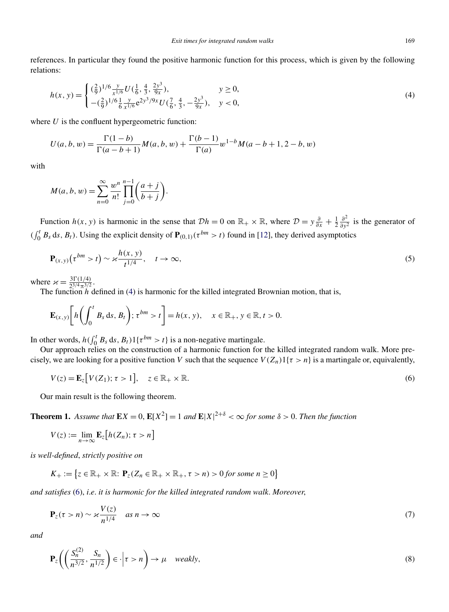<span id="page-2-0"></span>references. In particular they found the positive harmonic function for this process, which is given by the following relations:

$$
h(x, y) = \begin{cases} (\frac{2}{9})^{1/6} \frac{y}{x^{1/6}} U(\frac{1}{6}, \frac{4}{3}, \frac{2y^3}{9x}), & y \ge 0, \\ -(\frac{2}{9})^{1/6} \frac{1}{6} \frac{y}{x^{1/6}} e^{2y^3/9x} U(\frac{7}{6}, \frac{4}{3}, -\frac{2y^3}{9x}), & y < 0, \end{cases}
$$
(4)

where *U* is the confluent hypergeometric function:

$$
U(a, b, w) = \frac{\Gamma(1-b)}{\Gamma(a-b+1)} M(a, b, w) + \frac{\Gamma(b-1)}{\Gamma(a)} w^{1-b} M(a-b+1, 2-b, w)
$$

with

$$
M(a, b, w) = \sum_{n=0}^{\infty} \frac{w^n}{n!} \prod_{j=0}^{n-1} \left( \frac{a+j}{b+j} \right).
$$

Function *h*(*x*, *y*) is harmonic in the sense that  $\mathcal{D}h = 0$  on  $\mathbb{R}_+ \times \mathbb{R}$ , where  $\mathcal{D} = y \frac{\partial}{\partial x} + \frac{1}{2} \frac{\partial^2}{\partial y^2}$  is the generator of  $(\int_0^t B_s \, ds, B_t)$ . Using the explicit density of  $P_{(0,1)}(\tau^{bm} > t)$  found in [\[12\]](#page-26-0), they derived asymptotics

$$
\mathbf{P}_{(x,y)}\big(\tau^{bm} > t\big) \sim \varkappa \frac{h(x,y)}{t^{1/4}}, \quad t \to \infty,
$$
\n<sup>(5)</sup>

where  $\chi = \frac{3\Gamma(1/4)}{2^{3/4}\pi^{3/2}}$ .<br>The function *h* defined in (4) is harmonic for the killed integrated Brownian motion, that is,

$$
\mathbf{E}_{(x,y)}\bigg[h\bigg(\int_0^t B_s \, \mathrm{d} s, B_t\bigg); \tau^{bm} > t\bigg] = h(x,y), \quad x \in \mathbb{R}_+, y \in \mathbb{R}, t > 0.
$$

In other words,  $h \left( \int_0^t B_s \, ds, B_t \right) \mathbb{1} \{ \tau^{bm} > t \}$  is a non-negative martingale.

Our approach relies on the construction of a harmonic function for the killed integrated random walk. More precisely, we are looking for a positive function *V* such that the sequence  $V(Z_n)1\{\tau > n\}$  is a martingale or, equivalently,

$$
V(z) = \mathbf{E}_z[V(Z_1); \tau > 1], \quad z \in \mathbb{R}_+ \times \mathbb{R}.\tag{6}
$$

Our main result is the following theorem.

**Theorem 1.** Assume that  $\mathbf{E}X = 0$ ,  $\mathbf{E}[X^2] = 1$  and  $\mathbf{E}|X|^{2+\delta} < \infty$  for some  $\delta > 0$ . Then the function

$$
V(z) := \lim_{n \to \infty} \mathbf{E}_z[h(Z_n); \tau > n]
$$

*is well-defined*, *strictly positive on*

$$
K_{+} := \{ z \in \mathbb{R}_{+} \times \mathbb{R} : \mathbf{P}_{z}(Z_{n} \in \mathbb{R}_{+} \times \mathbb{R}_{+}, \tau > n) > 0 \text{ for some } n \geq 0 \}
$$

*and satisfies* (6), *i*.*e*. *it is harmonic for the killed integrated random walk*. *Moreover*,

$$
\mathbf{P}_z(\tau > n) \sim \varkappa \frac{V(z)}{n^{1/4}} \quad \text{as } n \to \infty \tag{7}
$$

*and*

$$
\mathbf{P}_z \bigg( \bigg( \frac{S_n^{(2)}}{n^{3/2}}, \frac{S_n}{n^{1/2}} \bigg) \in \cdot \bigg| \tau > n \bigg) \to \mu \quad weakly,
$$
\n<sup>(8)</sup>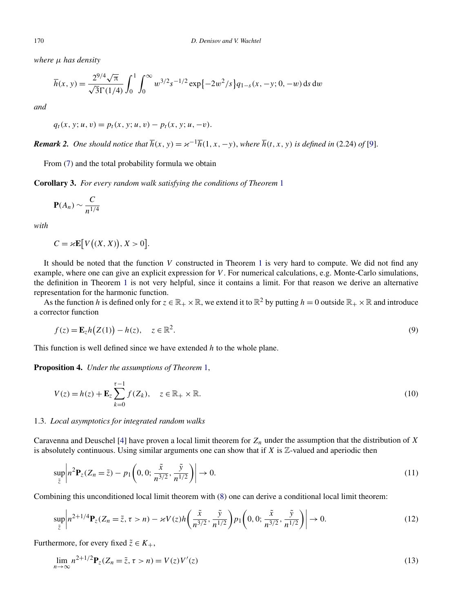<span id="page-3-0"></span>*where μ has density*

$$
\overline{h}(x, y) = \frac{2^{9/4}\sqrt{\pi}}{\sqrt{3}\Gamma(1/4)} \int_0^1 \int_0^\infty w^{3/2} s^{-1/2} \exp\{-2w^2/s\} q_{1-s}(x, -y; 0, -w) \, ds \, dw
$$

*and*

 $q_t(x, y; u, v) = p_t(x, y; u, v) - p_t(x, y; u, -v).$ 

*Remark 2. One should notice that*  $\overline{h}(x, y) = x^{-1}\overline{h}(1, x, -y)$ , *where*  $\overline{h}(t, x, y)$  *is defined in* (2.24) *of* [\[9\]](#page-25-0).

From [\(7\)](#page-2-0) and the total probability formula we obtain

**Corollary 3.** *For every random walk satisfying the conditions of Theorem* [1](#page-2-0)

$$
\mathbf{P}(A_n) \sim \frac{C}{n^{1/4}}
$$

*with*

$$
C = \varkappa \mathbf{E}[V((X, X)), X > 0].
$$

It should be noted that the function *V* constructed in Theorem [1](#page-2-0) is very hard to compute. We did not find any example, where one can give an explicit expression for *V* . For numerical calculations, e.g. Monte-Carlo simulations, the definition in Theorem [1](#page-2-0) is not very helpful, since it contains a limit. For that reason we derive an alternative representation for the harmonic function.

As the function *h* is defined only for  $z \in \mathbb{R}_+ \times \mathbb{R}$ , we extend it to  $\mathbb{R}^2$  by putting  $h = 0$  outside  $\mathbb{R}_+ \times \mathbb{R}$  and introduce a corrector function

$$
f(z) = \mathbf{E}_z h(Z(1)) - h(z), \quad z \in \mathbb{R}^2.
$$
 (9)

This function is well defined since we have extended *h* to the whole plane.

**Proposition 4.** *Under the assumptions of Theorem* [1,](#page-2-0)

$$
V(z) = h(z) + \mathbf{E}_z \sum_{k=0}^{\tau - 1} f(Z_k), \quad z \in \mathbb{R}_+ \times \mathbb{R}.
$$
 (10)

#### 1.3. *Local asymptotics for integrated random walks*

Caravenna and Deuschel [\[4\]](#page-25-0) have proven a local limit theorem for  $Z_n$  under the assumption that the distribution of *X* is absolutely continuous. Using similar arguments one can show that if  $X$  is  $\mathbb{Z}$ -valued and aperiodic then

$$
\sup_{\tilde{z}} \left| n^2 \mathbf{P}_z (Z_n = \tilde{z}) - p_1 \left( 0, 0; \frac{\tilde{x}}{n^{3/2}}, \frac{\tilde{y}}{n^{1/2}} \right) \right| \to 0. \tag{11}
$$

Combining this unconditioned local limit theorem with [\(8\)](#page-2-0) one can derive a conditional local limit theorem:

$$
\sup_{\tilde{z}} \left| n^{2+1/4} \mathbf{P}_{z}(Z_n = \tilde{z}, \tau > n) - \varkappa V(z) h\left(\frac{\tilde{x}}{n^{3/2}}, \frac{\tilde{y}}{n^{1/2}}\right) p_1\left(0, 0; \frac{\tilde{x}}{n^{3/2}}, \frac{\tilde{y}}{n^{1/2}}\right) \right| \to 0. \tag{12}
$$

Furthermore, for every fixed  $\tilde{z} \in K_+$ ,

$$
\lim_{n \to \infty} n^{2+1/2} \mathbf{P}_z(Z_n = \tilde{z}, \tau > n) = V(z)V'(z)
$$
\n(13)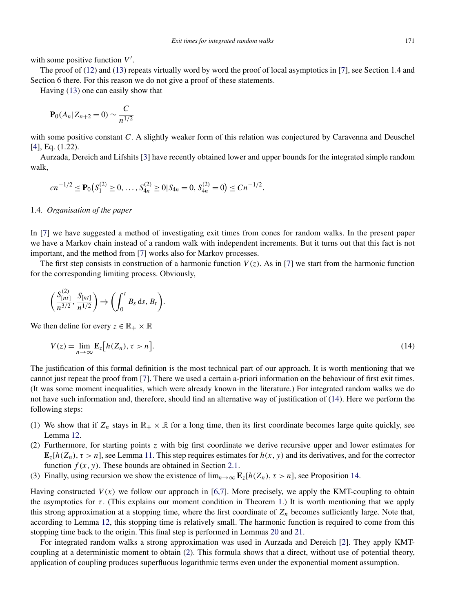with some positive function V'.

The proof of [\(12\)](#page-3-0) and [\(13\)](#page-3-0) repeats virtually word by word the proof of local asymptotics in [\[7\]](#page-25-0), see Section 1.4 and Section 6 there. For this reason we do not give a proof of these statements.

Having [\(13\)](#page-3-0) one can easily show that

$$
\mathbf{P}_0(A_n | Z_{n+2} = 0) \sim \frac{C}{n^{1/2}}
$$

with some positive constant *C*. A slightly weaker form of this relation was conjectured by Caravenna and Deuschel [\[4\]](#page-25-0), Eq. (1.22).

Aurzada, Dereich and Lifshits [\[3\]](#page-25-0) have recently obtained lower and upper bounds for the integrated simple random walk,

$$
cn^{-1/2} \le \mathbf{P}_0(S_1^{(2)} \ge 0, \ldots, S_{4n}^{(2)} \ge 0 | S_{4n} = 0, S_{4n}^{(2)} = 0) \le Cn^{-1/2}.
$$

#### 1.4. *Organisation of the paper*

In [\[7\]](#page-25-0) we have suggested a method of investigating exit times from cones for random walks. In the present paper we have a Markov chain instead of a random walk with independent increments. But it turns out that this fact is not important, and the method from [\[7\]](#page-25-0) works also for Markov processes.

The first step consists in construction of a harmonic function  $V(z)$ . As in [\[7\]](#page-25-0) we start from the harmonic function for the corresponding limiting process. Obviously,

$$
\left(\frac{S_{[nt]}^{(2)}}{n^{3/2}}, \frac{S_{[nt]}}{n^{1/2}}\right) \Longrightarrow \left(\int_0^t B_s \, \mathrm{d}s, B_t\right).
$$

We then define for every  $z \in \mathbb{R}_+ \times \mathbb{R}$ 

$$
V(z) = \lim_{n \to \infty} \mathbf{E}_z \big[ h(Z_n), \tau > n \big].
$$
\n(14)

The justification of this formal definition is the most technical part of our approach. It is worth mentioning that we cannot just repeat the proof from [\[7\]](#page-25-0). There we used a certain a-priori information on the behaviour of first exit times. (It was some moment inequalities, which were already known in the literature.) For integrated random walks we do not have such information and, therefore, should find an alternative way of justification of (14). Here we perform the following steps:

- (1) We show that if  $Z_n$  stays in  $\mathbb{R}_+ \times \mathbb{R}$  for a long time, then its first coordinate becomes large quite quickly, see Lemma [12.](#page-14-0)
- (2) Furthermore, for starting points *z* with big first coordinate we derive recursive upper and lower estimates for  $\mathbf{E}_z[h(Z_n), \tau > n]$ , see Lemma [11.](#page-12-0) This step requires estimates for  $h(x, y)$  and its derivatives, and for the corrector function  $f(x, y)$ . These bounds are obtained in Section [2.1.](#page-5-0)
- (3) Finally, using recursion we show the existence of  $\lim_{n\to\infty} \mathbf{E}_z[h(Z_n), \tau > n]$ , see Proposition [14.](#page-15-0)

Having constructed  $V(x)$  we follow our approach in [\[6,7\]](#page-25-0). More precisely, we apply the KMT-coupling to obtain the asymptotics for *τ* . (This explains our moment condition in Theorem [1.](#page-2-0)) It is worth mentioning that we apply this strong approximation at a stopping time, where the first coordinate of *Zn* becomes sufficiently large. Note that, according to Lemma [12,](#page-14-0) this stopping time is relatively small. The harmonic function is required to come from this stopping time back to the origin. This final step is performed in Lemmas [20](#page-21-0) and [21.](#page-22-0)

For integrated random walks a strong approximation was used in Aurzada and Dereich [\[2\]](#page-25-0). They apply KMTcoupling at a deterministic moment to obtain [\(2\)](#page-1-0). This formula shows that a direct, without use of potential theory, application of coupling produces superfluous logarithmic terms even under the exponential moment assumption.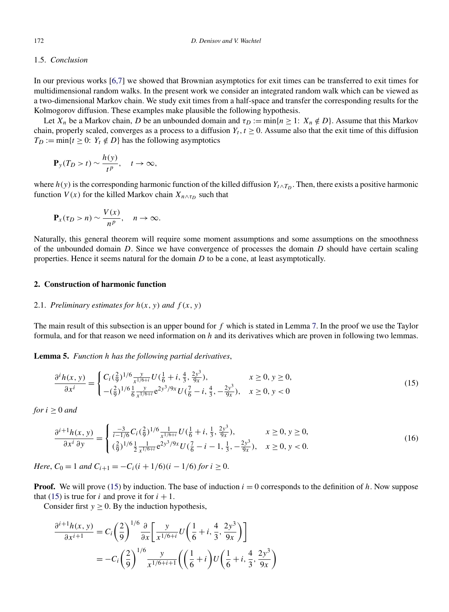#### <span id="page-5-0"></span>1.5. *Conclusion*

In our previous works [\[6,7\]](#page-25-0) we showed that Brownian asymptotics for exit times can be transferred to exit times for multidimensional random walks. In the present work we consider an integrated random walk which can be viewed as a two-dimensional Markov chain. We study exit times from a half-space and transfer the corresponding results for the Kolmogorov diffusion. These examples make plausible the following hypothesis.

Let  $X_n$  be a Markov chain, *D* be an unbounded domain and  $\tau_D := \min\{n \geq 1: X_n \notin D\}$ . Assume that this Markov chain, properly scaled, converges as a process to a diffusion  $Y_t$ ,  $t \ge 0$ . Assume also that the exit time of this diffusion  $T_D := \min\{t \geq 0: Y_t \notin D\}$  has the following asymptotics

$$
\mathbf{P}_y(T_D > t) \sim \frac{h(y)}{t^p}, \quad t \to \infty,
$$

where  $h(y)$  is the corresponding harmonic function of the killed diffusion  $Y_{t \wedge T_D}$ . Then, there exists a positive harmonic function *V*(*x*) for the killed Markov chain  $X_{n \wedge \tau_D}$  such that

$$
\mathbf{P}_x(\tau_D > n) \sim \frac{V(x)}{n^p}, \quad n \to \infty.
$$

Naturally, this general theorem will require some moment assumptions and some assumptions on the smoothness of the unbounded domain *D*. Since we have convergence of processes the domain *D* should have certain scaling properties. Hence it seems natural for the domain *D* to be a cone, at least asymptotically.

#### **2. Construction of harmonic function**

#### 2.1. *Preliminary estimates for*  $h(x, y)$  *and*  $f(x, y)$

The main result of this subsection is an upper bound for *f* which is stated in Lemma [7.](#page-8-0) In the proof we use the Taylor formula, and for that reason we need information on *h* and its derivatives which are proven in following two lemmas.

**Lemma 5.** *Function h has the following partial derivatives*,

$$
\frac{\partial^i h(x, y)}{\partial x^i} = \begin{cases} C_i \left(\frac{2}{9}\right)^{1/6} \frac{y}{x^{1/6 + i}} U \left(\frac{1}{6} + i, \frac{4}{3}, \frac{2y^3}{9x}\right), & x \ge 0, y \ge 0, \\ -\left(\frac{2}{9}\right)^{1/6} \frac{1}{6} \frac{y}{x^{1/6 + i}} e^{2y^3/9x} U \left(\frac{7}{6} - i, \frac{4}{3}, -\frac{2y^3}{9x}\right), & x \ge 0, y < 0 \end{cases}
$$
(15)

*for*  $i > 0$  *and* 

$$
\frac{\partial^{i+1}h(x,y)}{\partial x^{i}\partial y} = \begin{cases} \frac{-3}{i-1/6}C_{i}(\frac{2}{9})^{1/6}\frac{1}{x^{1/6+i}}U(\frac{1}{6}+i,\frac{1}{3},\frac{2y^{3}}{9x}), & x \ge 0, y \ge 0, \\ (\frac{2}{9})^{1/6}\frac{1}{2}\frac{1}{x^{1/6+i}}e^{2y^{3}/9x}U(\frac{7}{6}-i-1,\frac{1}{3},-\frac{2y^{3}}{9x}), & x \ge 0, y < 0. \end{cases}
$$
(16)

*Here*,  $C_0 = 1$  *and*  $C_{i+1} = -C_i(i + 1/6)(i - 1/6)$  *for*  $i \ge 0$ .

**Proof.** We will prove (15) by induction. The base of induction  $i = 0$  corresponds to the definition of  $h$ . Now suppose that (15) is true for *i* and prove it for  $i + 1$ .

Consider first  $y \ge 0$ . By the induction hypothesis,

$$
\frac{\partial^{i+1}h(x, y)}{\partial x^{i+1}} = C_i \left(\frac{2}{9}\right)^{1/6} \frac{\partial}{\partial x} \left[ \frac{y}{x^{1/6+i}} U\left(\frac{1}{6} + i, \frac{4}{3}, \frac{2y^3}{9x}\right) \right]
$$
  
=  $-C_i \left(\frac{2}{9}\right)^{1/6} \frac{y}{x^{1/6+i+1}} \left( \left(\frac{1}{6} + i\right) U\left(\frac{1}{6} + i, \frac{4}{3}, \frac{2y^3}{9x}\right) \right)$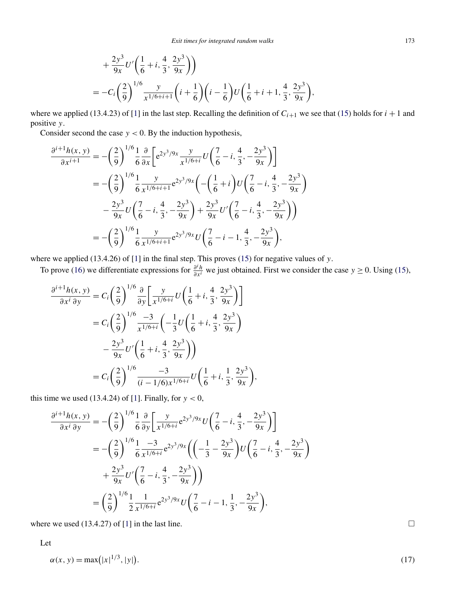<span id="page-6-0"></span>
$$
+\frac{2y^3}{9x}U'\left(\frac{1}{6}+i,\frac{4}{3},\frac{2y^3}{9x}\right)\right)
$$
  
=  $-C_i\left(\frac{2}{9}\right)^{1/6}\frac{y}{x^{1/6+i+1}}\left(i+\frac{1}{6}\right)\left(i-\frac{1}{6}\right)U\left(\frac{1}{6}+i+1,\frac{4}{3},\frac{2y^3}{9x}\right),$ 

where we applied (13.4.23) of [\[1\]](#page-25-0) in the last step. Recalling the definition of  $C_{i+1}$  we see that [\(15\)](#page-5-0) holds for  $i + 1$  and positive *y*.

Consider second the case  $y < 0$ . By the induction hypothesis,

$$
\frac{\partial^{i+1}h(x, y)}{\partial x^{i+1}} = -\left(\frac{2}{9}\right)^{1/6} \frac{1}{6} \frac{\partial}{\partial x} \left[e^{2y^3/9x} \frac{y}{x^{1/6+i}} U\left(\frac{7}{6} - i, \frac{4}{3}, -\frac{2y^3}{9x}\right)\right]
$$

$$
= -\left(\frac{2}{9}\right)^{1/6} \frac{1}{6} \frac{y}{x^{1/6+i+1}} e^{2y^3/9x} \left(-\left(\frac{1}{6} + i\right) U\left(\frac{7}{6} - i, \frac{4}{3}, -\frac{2y^3}{9x}\right)\right)
$$

$$
- \frac{2y^3}{9x} U\left(\frac{7}{6} - i, \frac{4}{3}, -\frac{2y^3}{9x}\right) + \frac{2y^3}{9x} U'\left(\frac{7}{6} - i, \frac{4}{3}, -\frac{2y^3}{9x}\right)\right)
$$

$$
= -\left(\frac{2}{9}\right)^{1/6} \frac{1}{6} \frac{y}{x^{1/6+i+1}} e^{2y^3/9x} U\left(\frac{7}{6} - i - 1, \frac{4}{3}, -\frac{2y^3}{9x}\right),
$$

where we applied (13.4.26) of [\[1\]](#page-25-0) in the final step. This proves [\(15\)](#page-5-0) for negative values of *y*.

To prove [\(16\)](#page-5-0) we differentiate expressions for  $\frac{\partial^i h}{\partial x^i}$  we just obtained. First we consider the case  $y \ge 0$ . Using [\(15\)](#page-5-0),

$$
\frac{\partial^{i+1}h(x, y)}{\partial x^{i} \partial y} = C_{i} \left(\frac{2}{9}\right)^{1/6} \frac{\partial}{\partial y} \left[\frac{y}{x^{1/6+i}} U\left(\frac{1}{6} + i, \frac{4}{3}, \frac{2y^{3}}{9x}\right)\right]
$$
  
\n
$$
= C_{i} \left(\frac{2}{9}\right)^{1/6} \frac{-3}{x^{1/6+i}} \left(-\frac{1}{3} U\left(\frac{1}{6} + i, \frac{4}{3}, \frac{2y^{3}}{9x}\right)\right)
$$
  
\n
$$
- \frac{2y^{3}}{9x} U' \left(\frac{1}{6} + i, \frac{4}{3}, \frac{2y^{3}}{9x}\right)\right)
$$
  
\n
$$
= C_{i} \left(\frac{2}{9}\right)^{1/6} \frac{-3}{(i - 1/6)x^{1/6+i}} U\left(\frac{1}{6} + i, \frac{1}{3}, \frac{2y^{3}}{9x}\right),
$$

this time we used  $(13.4.24)$  of [\[1\]](#page-25-0). Finally, for  $y < 0$ ,

$$
\frac{\partial^{i+1}h(x,y)}{\partial x^{i}\partial y} = -\left(\frac{2}{9}\right)^{1/6} \frac{1}{6} \frac{\partial}{\partial y} \left[\frac{y}{x^{1/6+i}} e^{2y^{3}/9x} U\left(\frac{7}{6} - i, \frac{4}{3}, -\frac{2y^{3}}{9x}\right)\right]
$$
  
=  $-\left(\frac{2}{9}\right)^{1/6} \frac{1}{6} \frac{-3}{x^{1/6+i}} e^{2y^{3}/9x} \left(\left(-\frac{1}{3} - \frac{2y^{3}}{9x}\right) U\left(\frac{7}{6} - i, \frac{4}{3}, -\frac{2y^{3}}{9x}\right) + \frac{2y^{3}}{9x} U'\left(\frac{7}{6} - i, \frac{4}{3}, -\frac{2y^{3}}{9x}\right)\right)$   
=  $\left(\frac{2}{9}\right)^{1/6} \frac{1}{2} \frac{1}{x^{1/6+i}} e^{2y^{3}/9x} U\left(\frac{7}{6} - i - 1, \frac{1}{3}, -\frac{2y^{3}}{9x}\right),$ 

where we used  $(13.4.27)$  of  $[1]$  in the last line.

Let

$$
\alpha(x, y) = \max(|x|^{1/3}, |y|). \tag{17}
$$

 $\Box$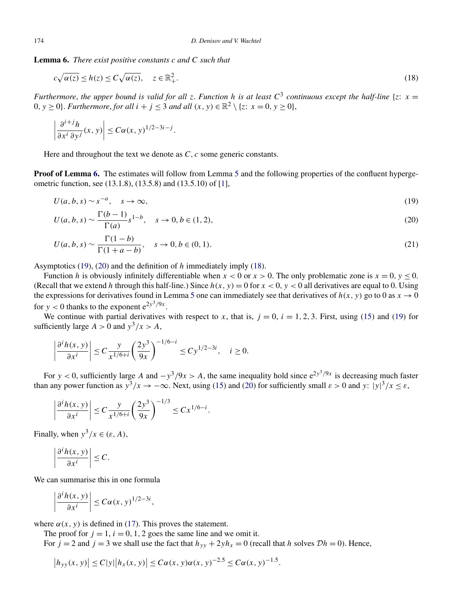<span id="page-7-0"></span>**Lemma 6.** *There exist positive constants c and C such that*

$$
c\sqrt{\alpha(z)} \le h(z) \le C\sqrt{\alpha(z)}, \quad z \in \mathbb{R}^2_+.
$$

*Furthermore, the upper bound is valid for all <i>z*. *Function h is at least*  $C^3$  *continuous except the half-line* {*z*: *x* = 0,  $y > 0$ }. *Furthermore, for all*  $i + j \leq 3$  *and all*  $(x, y) \in \mathbb{R}^2 \setminus \{z: x = 0, y \geq 0\}$ ,

$$
\left|\frac{\partial^{i+j}h}{\partial x^{i}\partial y^{j}}(x,y)\right| \leq C\alpha(x,y)^{1/2-3i-j}.
$$

Here and throughout the text we denote as *C*, *c* some generic constants.

**Proof of Lemma 6.** The estimates will follow from Lemma [5](#page-5-0) and the following properties of the confluent hypergeometric function, see (13.1.8), (13.5.8) and (13.5.10) of [\[1\]](#page-25-0),

$$
U(a, b, s) \sim s^{-a}, \quad s \to \infty,
$$
\n(19)

$$
U(a, b, s) \sim \frac{\Gamma(b - 1)}{\Gamma(a)} s^{1 - b}, \quad s \to 0, b \in (1, 2),
$$
\n(20)

$$
U(a, b, s) \sim \frac{\Gamma(1 - b)}{\Gamma(1 + a - b)}, \quad s \to 0, b \in (0, 1).
$$
 (21)

Asymptotics (19), (20) and the definition of *h* immediately imply (18).

Function *h* is obviously infinitely differentiable when  $x < 0$  or  $x > 0$ . The only problematic zone is  $x = 0$ ,  $y \le 0$ . (Recall that we extend *h* through this half-line.) Since  $h(x, y) = 0$  for  $x < 0$ ,  $y < 0$  all derivatives are equal to 0. Using the expressions for derivatives found in Lemma [5](#page-5-0) one can immediately see that derivatives of  $h(x, y)$  go to 0 as  $x \to 0$ for  $y < 0$  thanks to the exponent  $e^{2y^3/9x}$ .

We continue with partial derivatives with respect to *x*, that is,  $j = 0$ ,  $i = 1, 2, 3$ . First, using [\(15\)](#page-5-0) and (19) for sufficiently large  $A > 0$  and  $y^3/x > A$ ,

$$
\left|\frac{\partial^i h(x, y)}{\partial x^i}\right| \le C \frac{y}{x^{1/6+i}} \left(\frac{2y^3}{9x}\right)^{-1/6-i} \le C y^{1/2-3i}, \quad i \ge 0.
$$

For *y* < 0, sufficiently large *A* and  $-y^3/9x > A$ , the same inequality hold since  $e^{2y^3/9x}$  is decreasing much faster than any power function as  $y^3/x \to -\infty$ . Next, using [\(15\)](#page-5-0) and (20) for sufficiently small  $\varepsilon > 0$  and  $y$ :  $|y|^3/x \le \varepsilon$ ,

*.*

$$
\left|\frac{\partial^i h(x, y)}{\partial x^i}\right| \le C \frac{y}{x^{1/6+i}} \left(\frac{2y^3}{9x}\right)^{-1/3} \le C x^{1/6-i}
$$

Finally, when  $y^3/x \in (\varepsilon, A)$ ,

$$
\left|\frac{\partial^i h(x, y)}{\partial x^i}\right| \leq C.
$$

We can summarise this in one formula

$$
\left|\frac{\partial^i h(x, y)}{\partial x^i}\right| \leq C\alpha(x, y)^{1/2 - 3i},
$$

where  $\alpha(x, y)$  is defined in [\(17\)](#page-6-0). This proves the statement.

The proof for  $j = 1$ ,  $i = 0, 1, 2$  goes the same line and we omit it.

For  $j = 2$  and  $j = 3$  we shall use the fact that  $h_{yy} + 2yh_x = 0$  (recall that *h* solves  $\mathcal{D}h = 0$ ). Hence,

$$
|h_{yy}(x, y)| \le C|y||h_x(x, y)| \le C\alpha(x, y)\alpha(x, y)^{-2.5} \le C\alpha(x, y)^{-1.5}.
$$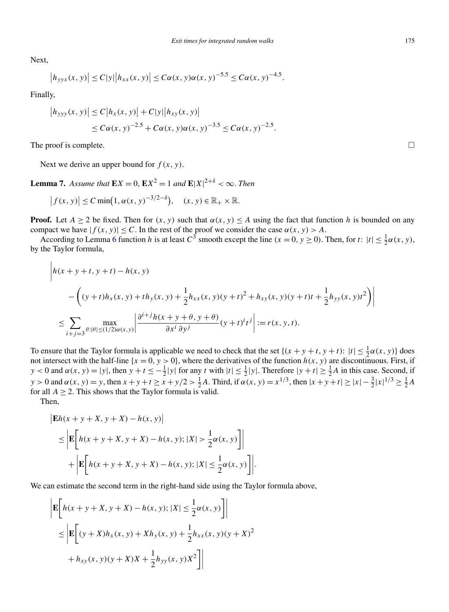<span id="page-8-0"></span>Next,

$$
|h_{yyx}(x, y)| \le C|y||h_{xx}(x, y)| \le C\alpha(x, y)\alpha(x, y)^{-5.5} \le C\alpha(x, y)^{-4.5}.
$$

Finally,

$$
|h_{yyy}(x, y)| \le C |h_x(x, y)| + C|y||h_{xy}(x, y)|
$$
  
\n
$$
\le C\alpha(x, y)^{-2.5} + C\alpha(x, y)\alpha(x, y)^{-3.5} \le C\alpha(x, y)^{-2.5}.
$$

The proof is complete.  $\Box$ 

Next we derive an upper bound for  $f(x, y)$ .

**Lemma 7.** *Assume that*  $\mathbf{E}X = 0$ ,  $\mathbf{E}X^2 = 1$  *and*  $\mathbf{E}|X|^{2+\delta} < \infty$ . *Then* 

$$
\left|f(x, y)\right| \le C \min\left(1, \alpha(x, y)^{-3/2-\delta}\right), \quad (x, y) \in \mathbb{R}_+ \times \mathbb{R}.
$$

**Proof.** Let  $A \ge 2$  be fixed. Then for  $(x, y)$  such that  $\alpha(x, y) \le A$  using the fact that function *h* is bounded on any compact we have  $|f(x, y)| \leq C$ . In the rest of the proof we consider the case  $\alpha(x, y) > A$ .

According to Lemma [6](#page-7-0) function *h* is at least  $C^3$  smooth except the line  $(x = 0, y \ge 0)$ . Then, for  $t: |t| \le \frac{1}{2}\alpha(x, y)$ , by the Taylor formula,

$$
\left| h(x + y + t, y + t) - h(x, y) \right|
$$
  
-  $\left( (y + t)h_x(x, y) + th_y(x, y) + \frac{1}{2}h_{xx}(x, y)(y + t)^2 + h_{xy}(x, y)(y + t)t + \frac{1}{2}h_{yy}(x, y)t^2 \right) \right|$   
 $\leq \sum_{i+j=3} \max_{\theta: |\theta| \leq (1/2)\alpha(x, y)} \left| \frac{\partial^{i+j}h(x + y + \theta, y + \theta)}{\partial x^i \partial y^j} (y + t)^i t^j \right| := r(x, y, t).$ 

To ensure that the Taylor formula is applicable we need to check that the set  $\{(x + y + t, y + t): |t| \leq \frac{1}{2}\alpha(x, y)\}$  does not intersect with the half-line  $\{x = 0, y > 0\}$ , where the derivatives of the function  $h(x, y)$  are discontinuous. First, if  $y < 0$  and  $\alpha(x, y) = |y|$ , then  $y + t \le -\frac{1}{2}|y|$  for any *t* with  $|t| \le \frac{1}{2}|y|$ . Therefore  $|y + t| \ge \frac{1}{2}A$  in this case. Second, if  $y > 0$  and  $\alpha(x, y) = y$ , then  $x + y + t \ge x + y/2 > \frac{1}{2}A$ . Third, if  $\alpha(x, y) = x^{1/3}$ , then  $|x + y + t| \ge |x| - \frac{3}{2}|x|^{1/3} \ge \frac{1}{2}A$ for all  $A \geq 2$ . This shows that the Taylor formula is valid.

Then,

 $\overline{1}$ 

$$
|\mathbf{E}h(x + y + X, y + X) - h(x, y)|
$$
  
\n
$$
\leq |\mathbf{E}\left[h(x + y + X, y + X) - h(x, y); |X| > \frac{1}{2}\alpha(x, y)\right] + |\mathbf{E}\left[h(x + y + X, y + X) - h(x, y); |X| \leq \frac{1}{2}\alpha(x, y)\right]|.
$$

We can estimate the second term in the right-hand side using the Taylor formula above,

$$
\begin{aligned} \left| \mathbf{E} \bigg[ h(x + y + X, y + X) - h(x, y); |X| \le \frac{1}{2} \alpha(x, y) \bigg] \right| \\ &\le \left| \mathbf{E} \bigg[ (y + X) h_x(x, y) + X h_y(x, y) + \frac{1}{2} h_{xx}(x, y) (y + X)^2 \\ &+ h_{xy}(x, y) (y + X) X + \frac{1}{2} h_{yy}(x, y) X^2 \bigg] \right| \end{aligned}
$$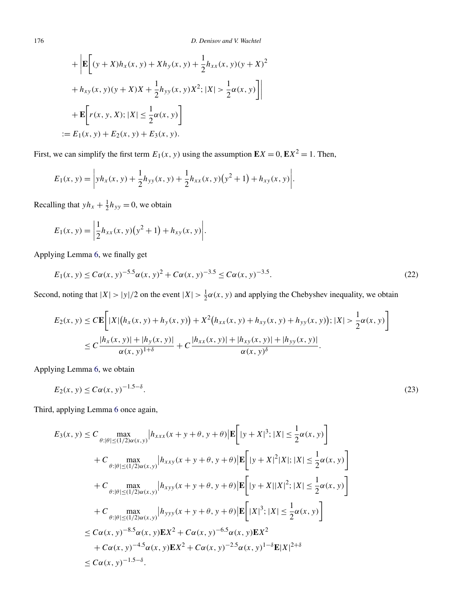+ 
$$
\left| \mathbf{E} \left[ (y + X)h_x(x, y) + Xh_y(x, y) + \frac{1}{2}h_{xx}(x, y)(y + X)^2 + h_{xy}(x, y)(y + X)X + \frac{1}{2}h_{yy}(x, y)X^2; |X| > \frac{1}{2}\alpha(x, y) \right] \right|
$$
  
+  $\mathbf{E} \left[ r(x, y, X); |X| \le \frac{1}{2}\alpha(x, y) \right]$   
:=  $E_1(x, y) + E_2(x, y) + E_3(x, y)$ .

First, we can simplify the first term  $E_1(x, y)$  using the assumption  $\mathbf{E}X = 0$ ,  $\mathbf{E}X^2 = 1$ . Then,

$$
E_1(x, y) = \left| yh_x(x, y) + \frac{1}{2}h_{yy}(x, y) + \frac{1}{2}h_{xx}(x, y)(y^2 + 1) + h_{xy}(x, y) \right|.
$$

Recalling that  $yh_x + \frac{1}{2}h_{yy} = 0$ , we obtain

$$
E_1(x, y) = \left| \frac{1}{2} h_{xx}(x, y) (y^2 + 1) + h_{xy}(x, y) \right|.
$$

Applying Lemma [6,](#page-7-0) we finally get

$$
E_1(x, y) \le C\alpha(x, y)^{-5.5} \alpha(x, y)^2 + C\alpha(x, y)^{-3.5} \le C\alpha(x, y)^{-3.5}.
$$
\n(22)

Second, noting that  $|X| > |y|/2$  on the event  $|X| > \frac{1}{2}\alpha(x, y)$  and applying the Chebyshev inequality, we obtain

$$
E_2(x, y) \leq C \mathbf{E} \bigg[ |X| \big( h_x(x, y) + h_y(x, y) \big) + X^2 \big( h_{xx}(x, y) + h_{xy}(x, y) + h_{yy}(x, y) \big); |X| > \frac{1}{2} \alpha(x, y) \bigg] \leq C \frac{|h_x(x, y)| + |h_y(x, y)|}{\alpha(x, y)^{1+\delta}} + C \frac{|h_{xx}(x, y)| + |h_{xy}(x, y)| + |h_{yy}(x, y)|}{\alpha(x, y)^{\delta}}.
$$

Applying Lemma [6,](#page-7-0) we obtain

$$
E_2(x, y) \le C\alpha(x, y)^{-1.5-\delta}.\tag{23}
$$

Third, applying Lemma [6](#page-7-0) once again,

$$
E_3(x, y) \leq C \max_{\theta:|\theta| \leq (1/2)\alpha(x, y)} |h_{xxx}(x + y + \theta, y + \theta)| \mathbf{E} \left[ |y + X|^3; |X| \leq \frac{1}{2}\alpha(x, y) \right] + C \max_{\theta:|\theta| \leq (1/2)\alpha(x, y)} |h_{xxy}(x + y + \theta, y + \theta)| \mathbf{E} \left[ |y + X|^2 |X|; |X| \leq \frac{1}{2}\alpha(x, y) \right] + C \max_{\theta:|\theta| \leq (1/2)\alpha(x, y)} |h_{xyy}(x + y + \theta, y + \theta)| \mathbf{E} \left[ |y + X||X|^2; |X| \leq \frac{1}{2}\alpha(x, y) \right] + C \max_{\theta:|\theta| \leq (1/2)\alpha(x, y)} |h_{yyy}(x + y + \theta, y + \theta)| \mathbf{E} \left[ |X|^3; |X| \leq \frac{1}{2}\alpha(x, y) \right] < \leq C\alpha(x, y)^{-8.5}\alpha(x, y) \mathbf{E} X^2 + C\alpha(x, y)^{-6.5}\alpha(x, y) \mathbf{E} X^2 + C\alpha(x, y)^{-4.5}\alpha(x, y) \mathbf{E} X^2 + C\alpha(x, y)^{-2.5}\alpha(x, y)^{1-\delta} \mathbf{E} |X|^{2+\delta} < \leq C\alpha(x, y)^{-1.5-\delta}.
$$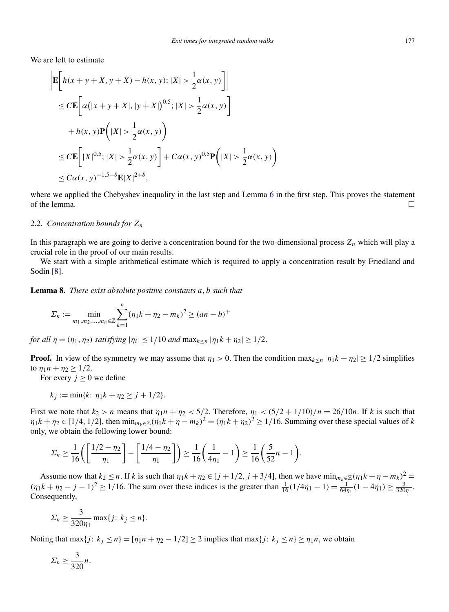<span id="page-10-0"></span>We are left to estimate

$$
\begin{aligned} & \left| \mathbf{E} \bigg[ h(x + y + X, y + X) - h(x, y); |X| > \frac{1}{2} \alpha(x, y) \bigg] \right| \\ &\leq C \mathbf{E} \bigg[ \alpha \big( |x + y + X|, |y + X| \big)^{0.5}; |X| > \frac{1}{2} \alpha(x, y) \bigg] \\ &+ h(x, y) \mathbf{P} \bigg( |X| > \frac{1}{2} \alpha(x, y) \bigg) \\ &\leq C \mathbf{E} \bigg[ |X|^{0.5}; |X| > \frac{1}{2} \alpha(x, y) \bigg] + C \alpha(x, y)^{0.5} \mathbf{P} \bigg( |X| > \frac{1}{2} \alpha(x, y) \bigg) \\ &\leq C \alpha(x, y)^{-1.5 - \delta} \mathbf{E} |X|^{2 + \delta}, \end{aligned}
$$

where we applied the Chebyshev inequality in the last step and Lemma [6](#page-7-0) in the first step. This proves the statement of the lemma.  $\Box$ 

#### 2.2. *Concentration bounds for Zn*

In this paragraph we are going to derive a concentration bound for the two-dimensional process  $Z_n$  which will play a crucial role in the proof of our main results.

We start with a simple arithmetical estimate which is required to apply a concentration result by Friedland and Sodin [\[8\]](#page-25-0).

**Lemma 8.** *There exist absolute positive constants a,b such that*

$$
\Sigma_n := \min_{m_1, m_2, \dots, m_n \in \mathbb{Z}} \sum_{k=1}^n (\eta_1 k + \eta_2 - m_k)^2 \ge (an - b)^+
$$

*for all*  $\eta = (\eta_1, \eta_2)$  *satisfying*  $|\eta_i| \leq 1/10$  *and*  $\max_{k \leq n} |\eta_1 k + \eta_2| \geq 1/2$ .

**Proof.** In view of the symmetry we may assume that  $\eta_1 > 0$ . Then the condition max $_{k \le n} |\eta_1 k + \eta_2| \ge 1/2$  simplifies to  $\eta_1 n + \eta_2 \geq 1/2$ .

For every  $j \geq 0$  we define

$$
k_j := \min\{k: \eta_1 k + \eta_2 \ge j + 1/2\}.
$$

First we note that  $k_2 > n$  means that  $\eta_1 n + \eta_2 < 5/2$ . Therefore,  $\eta_1 < (5/2 + 1/10)/n = 26/10n$ . If *k* is such that  $\eta_1 k + \eta_2 \in [1/4, 1/2]$ , then  $\min_{m_k \in \mathbb{Z}} (\eta_1 k + \eta - m_k)^2 = (\eta_1 k + \eta_2)^2 \ge 1/16$ . Summing over these special values of k only, we obtain the following lower bound:

$$
\Sigma_n \ge \frac{1}{16} \left( \left[ \frac{1/2 - \eta_2}{\eta_1} \right] - \left[ \frac{1/4 - \eta_2}{\eta_1} \right] \right) \ge \frac{1}{16} \left( \frac{1}{4\eta_1} - 1 \right) \ge \frac{1}{16} \left( \frac{5}{52}n - 1 \right).
$$

Assume now that  $k_2 \le n$ . If *k* is such that  $\eta_1 k + \eta_2 \in [j + 1/2, j + 3/4]$ , then we have  $\min_{m_k \in \mathbb{Z}} (\eta_1 k + \eta - m_k)^2$  $(\eta_1 k + \eta_2 - j - 1)^2 \ge 1/16$ . The sum over these indices is the greater than  $\frac{1}{16}(1/4\eta_1 - 1) = \frac{1}{64\eta_1}(1 - 4\eta_1) \ge \frac{3}{320\eta_1}$ . Consequently,

$$
\Sigma_n \ge \frac{3}{320\eta_1} \max\{j: k_j \le n\}.
$$

Noting that max $\{j: k_j \le n\} = [\eta_1 n + \eta_2 - 1/2] \ge 2$  implies that max $\{j: k_j \le n\} \ge \eta_1 n$ , we obtain

$$
\Sigma_n \geq \frac{3}{320}n.
$$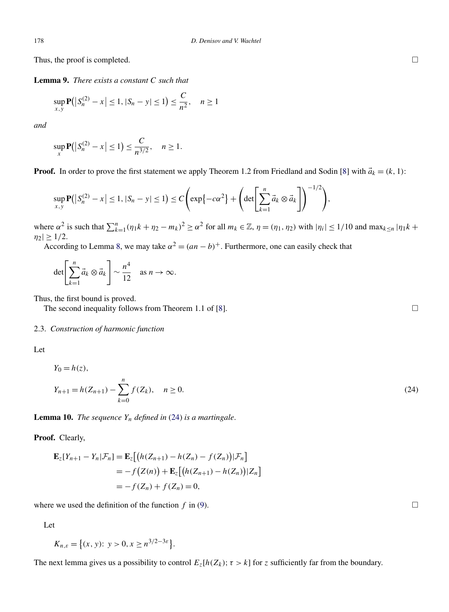<span id="page-11-0"></span>Thus, the proof is completed.

**Lemma 9.** *There exists a constant C such that*

$$
\sup_{x,y} \mathbf{P}(|S_n^{(2)} - x| \le 1, |S_n - y| \le 1) \le \frac{C}{n^2}, \quad n \ge 1
$$

*and*

$$
\sup_{x} \mathbf{P}(|S_n^{(2)} - x| \le 1) \le \frac{C}{n^{3/2}}, \quad n \ge 1.
$$

**Proof.** In order to prove the first statement we apply Theorem 1.2 from Friedland and Sodin [\[8\]](#page-25-0) with  $\vec{a}_k = (k, 1)$ :

$$
\sup_{x,y} \mathbf{P}(|S_n^{(2)}-x| \leq 1, |S_n-y| \leq 1) \leq C \Bigg( \exp\{-c\alpha^2\} + \Bigg(\det\Biggl[\sum_{k=1}^n \vec{a}_k \otimes \vec{a}_k\Biggr]\Bigg)^{-1/2} \Bigg),
$$

where  $\alpha^2$  is such that  $\sum_{k=1}^n (\eta_1 k + \eta_2 - m_k)^2 \ge \alpha^2$  for all  $m_k \in \mathbb{Z}$ ,  $\eta = (\eta_1, \eta_2)$  with  $|\eta_i| \le 1/10$  and  $\max_{k \le n} |\eta_1 k +$  $|\eta_2| \geq 1/2$ .

According to Lemma [8,](#page-10-0) we may take  $\alpha^2 = (an - b)^+$ . Furthermore, one can easily check that

$$
\det\left[\sum_{k=1}^n \vec{a}_k \otimes \vec{a}_k\right] \sim \frac{n^4}{12} \quad \text{as } n \to \infty.
$$

Thus, the first bound is proved.

The second inequality follows from Theorem 1.1 of [\[8\]](#page-25-0).

### 2.3. *Construction of harmonic function*

| ٧<br>ł<br>$\sim$ | $\sim$ |
|------------------|--------|
|                  |        |

$$
Y_0 = h(z),
$$
  
\n
$$
Y_{n+1} = h(Z_{n+1}) - \sum_{k=0}^{n} f(Z_k), \quad n \ge 0.
$$
\n(24)

**Lemma 10.** *The sequence Yn defined in* (24) *is a martingale*.

**Proof.** Clearly,

$$
\mathbf{E}_z[Y_{n+1} - Y_n | \mathcal{F}_n] = \mathbf{E}_z [(h(Z_{n+1}) - h(Z_n) - f(Z_n)) | \mathcal{F}_n]
$$
  
= 
$$
-f(Z(n)) + \mathbf{E}_z [(h(Z_{n+1}) - h(Z_n)) | Z_n]
$$
  
= 
$$
-f(Z_n) + f(Z_n) = 0,
$$

where we used the definition of the function  $f$  in [\(9\)](#page-3-0).

Let

$$
K_{n,\varepsilon} = \{(x, y): y > 0, x \ge n^{3/2 - 3\varepsilon}\}.
$$

The next lemma gives us a possibility to control  $E_z[h(Z_k); \tau > k]$  for *z* sufficiently far from the boundary.

 $\Box$ 

 $\Box$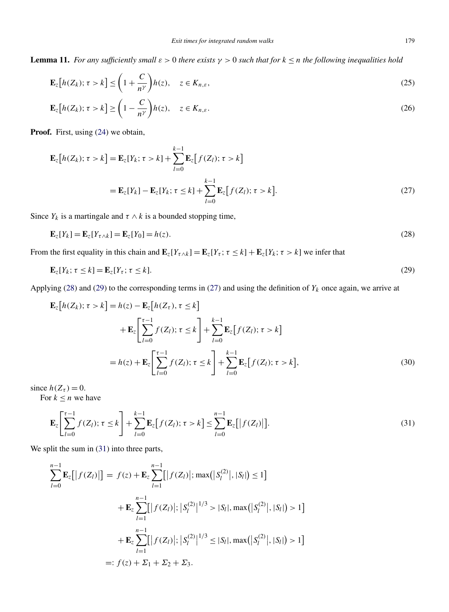<span id="page-12-0"></span>**Lemma 11.** *For any sufficiently small*  $\varepsilon > 0$  *there exists*  $\gamma > 0$  *such that for*  $k \le n$  *the following inequalities hold* 

$$
\mathbf{E}_z[h(Z_k); \tau > k] \le \left(1 + \frac{C}{n^{\gamma}}\right)h(z), \quad z \in K_{n,\varepsilon},\tag{25}
$$

$$
\mathbf{E}_{z}[h(Z_{k}); \tau > k] \ge \left(1 - \frac{C}{n^{\gamma}}\right)h(z), \quad z \in K_{n,\varepsilon}.
$$
\n(26)

**Proof.** First, using [\(24\)](#page-11-0) we obtain,

$$
\mathbf{E}_{z}[h(Z_{k}); \tau > k] = \mathbf{E}_{z}[Y_{k}; \tau > k] + \sum_{l=0}^{k-1} \mathbf{E}_{z}[f(Z_{l}); \tau > k]
$$

$$
= \mathbf{E}_{z}[Y_{k}] - \mathbf{E}_{z}[Y_{k}; \tau \le k] + \sum_{l=0}^{k-1} \mathbf{E}_{z}[f(Z_{l}); \tau > k].
$$
(27)

Since  $Y_k$  is a martingale and  $\tau \wedge k$  is a bounded stopping time,

$$
\mathbf{E}_z[Y_k] = \mathbf{E}_z[Y_{\tau \wedge k}] = \mathbf{E}_z[Y_0] = h(z). \tag{28}
$$

From the first equality in this chain and  $\mathbf{E}_z[Y_{\tau\wedge k}] = \mathbf{E}_z[Y_{\tau}; \tau \leq k] + \mathbf{E}_z[Y_k; \tau > k]$  we infer that

$$
\mathbf{E}_z[Y_k; \tau \le k] = \mathbf{E}_z[Y_\tau; \tau \le k].\tag{29}
$$

Applying (28) and (29) to the corresponding terms in (27) and using the definition of  $Y_k$  once again, we arrive at

$$
\mathbf{E}_{z}[h(Z_{k}); \tau > k] = h(z) - \mathbf{E}_{z}[h(Z_{\tau}), \tau \le k] \n+ \mathbf{E}_{z} \Biggl[ \sum_{l=0}^{\tau-1} f(Z_{l}); \tau \le k \Biggr] + \sum_{l=0}^{k-1} \mathbf{E}_{z}[f(Z_{l}); \tau > k] \n= h(z) + \mathbf{E}_{z} \Biggl[ \sum_{l=0}^{\tau-1} f(Z_{l}); \tau \le k \Biggr] + \sum_{l=0}^{k-1} \mathbf{E}_{z}[f(Z_{l}); \tau > k],
$$
\n(30)

since  $h(Z_\tau) = 0$ .

For  $k \leq n$  we have

$$
\mathbf{E}_{z}\left[\sum_{l=0}^{\tau-1}f(Z_{l});\,\tau\leq k\right]+\sum_{l=0}^{k-1}\mathbf{E}_{z}\left[f(Z_{l});\,\tau>k\right]\leq\sum_{l=0}^{n-1}\mathbf{E}_{z}\left[\left|f(Z_{l})\right|\right].\tag{31}
$$

We split the sum in  $(31)$  into three parts,

$$
\sum_{l=0}^{n-1} \mathbf{E}_{z}[|f(Z_{l})|] = f(z) + \mathbf{E}_{z} \sum_{l=1}^{n-1} [|f(Z_{l})|; \max(|S_{l}^{(2)}|, |S_{l}|) \le 1]
$$
  
+ 
$$
\mathbf{E}_{z} \sum_{l=1}^{n-1} [|f(Z_{l})|; |S_{l}^{(2)}|^{1/3} > |S_{l}|, \max(|S_{l}^{(2)}|, |S_{l}|) > 1]
$$
  
+ 
$$
\mathbf{E}_{z} \sum_{l=1}^{n-1} [|f(Z_{l})|; |S_{l}^{(2)}|^{1/3} \le |S_{l}|, \max(|S_{l}^{(2)}|, |S_{l}|) > 1]
$$
  
=: 
$$
f(z) + \Sigma_{1} + \Sigma_{2} + \Sigma_{3}.
$$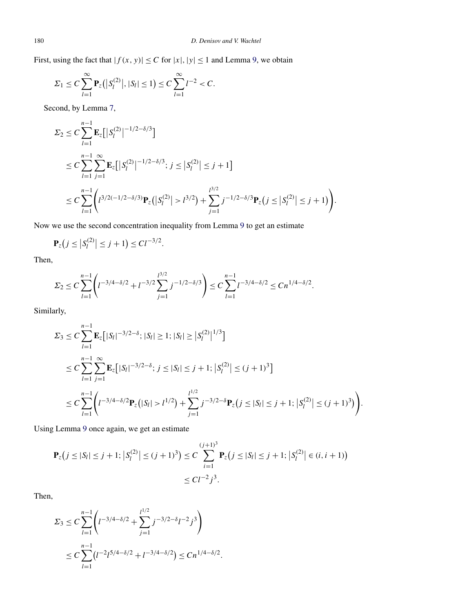First, using the fact that  $|f(x, y)| \leq C$  for  $|x|, |y| \leq 1$  and Lemma [9,](#page-11-0) we obtain

$$
\Sigma_1 \leq C \sum_{l=1}^{\infty} \mathbf{P}_z(|S_l^{(2)}|, |S_l| \leq 1) \leq C \sum_{l=1}^{\infty} l^{-2} < C.
$$

Second, by Lemma [7,](#page-8-0)

$$
\Sigma_2 \leq C \sum_{l=1}^{n-1} \mathbf{E}_z \Big[ |S_l^{(2)}|^{-1/2-\delta/3} \Big]
$$
  
\n
$$
\leq C \sum_{l=1}^{n-1} \sum_{j=1}^{\infty} \mathbf{E}_z \Big[ |S_l^{(2)}|^{-1/2-\delta/3}; j \leq |S_l^{(2)}| \leq j+1 \Big]
$$
  
\n
$$
\leq C \sum_{l=1}^{n-1} \Big( l^{3/2(-1/2-\delta/3)} \mathbf{P}_z \Big( |S_l^{(2)}| > l^{3/2} \Big) + \sum_{j=1}^{l^{3/2}} j^{-1/2-\delta/3} \mathbf{P}_z \Big( j \leq |S_l^{(2)}| \leq j+1 \Big) \Big).
$$

Now we use the second concentration inequality from Lemma [9](#page-11-0) to get an estimate

$$
\mathbf{P}_z(j \leq |S_l^{(2)}| \leq j+1) \leq C l^{-3/2}.
$$

Then,

$$
\Sigma_2 \le C \sum_{l=1}^{n-1} \left( l^{-3/4-\delta/2} + l^{-3/2} \sum_{j=1}^{l^{3/2}} j^{-1/2-\delta/3} \right) \le C \sum_{l=1}^{n-1} l^{-3/4-\delta/2} \le C n^{1/4-\delta/2}.
$$

Similarly,

$$
\Sigma_3 \leq C \sum_{l=1}^{n-1} \mathbf{E}_z \big[ |S_l|^{-3/2-\delta}; |S_l| \geq 1; |S_l| \geq |S_l^{(2)}|^{1/3} \big]
$$
  
\n
$$
\leq C \sum_{l=1}^{n-1} \sum_{j=1}^{\infty} \mathbf{E}_z \big[ |S_l|^{-3/2-\delta}; j \leq |S_l| \leq j+1; |S_l^{(2)}| \leq (j+1)^3 \big]
$$
  
\n
$$
\leq C \sum_{l=1}^{n-1} \left( l^{-3/4-\delta/2} \mathbf{P}_z \big( |S_l| > l^{1/2} \big) + \sum_{j=1}^{l^{1/2}} j^{-3/2-\delta} \mathbf{P}_z \big( j \leq |S_l| \leq j+1; |S_l^{(2)}| \leq (j+1)^3 \big) \right).
$$

Using Lemma [9](#page-11-0) once again, we get an estimate

$$
\mathbf{P}_z(j \le |S_l| \le j+1; |S_l^{(2)}| \le (j+1)^3) \le C \sum_{i=1}^{(j+1)^3} \mathbf{P}_z(j \le |S_l| \le j+1; |S_l^{(2)}| \in (i, i+1))
$$
  

$$
\le C l^{-2} j^3.
$$

Then,

$$
\Sigma_3 \le C \sum_{l=1}^{n-1} \left( l^{-3/4 - \delta/2} + \sum_{j=1}^{l^{1/2}} j^{-3/2 - \delta} l^{-2} j^3 \right)
$$
  

$$
\le C \sum_{l=1}^{n-1} \left( l^{-2} l^{5/4 - \delta/2} + l^{-3/4 - \delta/2} \right) \le C n^{1/4 - \delta/2}.
$$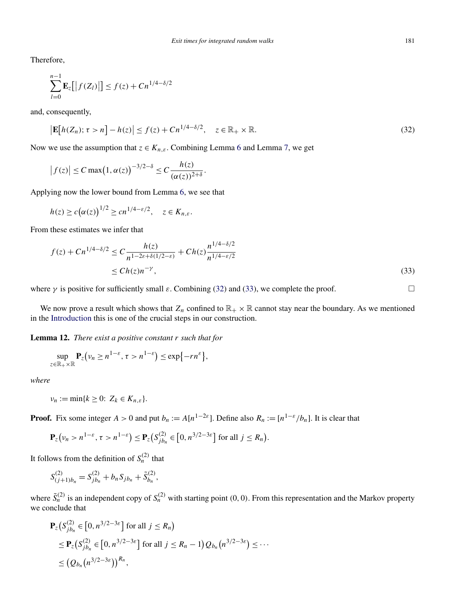<span id="page-14-0"></span>Therefore,

$$
\sum_{l=0}^{n-1} \mathbf{E}_z [ |f(Z_l)| ] \le f(z) + C n^{1/4 - \delta/2}
$$

and, consequently,

$$
\left|\mathbf{E}\big[h(Z_n); \tau > n\big] - h(z)\right| \le f(z) + C n^{1/4 - \delta/2}, \quad z \in \mathbb{R}_+ \times \mathbb{R}.\tag{32}
$$

Now we use the assumption that  $z \in K_{n,\varepsilon}$ . Combining Lemma [6](#page-7-0) and Lemma [7,](#page-8-0) we get

$$
\left|f(z)\right| \leq C \max\bigl(1, \alpha(z)\bigr)^{-3/2-\delta} \leq C \frac{h(z)}{(\alpha(z))^{2+\delta}}.
$$

Applying now the lower bound from Lemma [6,](#page-7-0) we see that

$$
h(z) \ge c(\alpha(z))^{1/2} \ge cn^{1/4 - \varepsilon/2}, \quad z \in K_{n,\varepsilon}.
$$

From these estimates we infer that

$$
f(z) + Cn^{1/4 - \delta/2} \le C \frac{h(z)}{n^{1 - 2\varepsilon + \delta(1/2 - \varepsilon)}} + Ch(z) \frac{n^{1/4 - \delta/2}}{n^{1/4 - \varepsilon/2}}
$$
  
 
$$
\le Ch(z)n^{-\gamma},
$$
 (33)

where  $\gamma$  is positive for sufficiently small  $\varepsilon$ . Combining (32) and (33), we complete the proof.  $\Box$ 

We now prove a result which shows that  $Z_n$  confined to  $\mathbb{R}_+ \times \mathbb{R}$  cannot stay near the boundary. As we mentioned in the [Introduction](#page-0-0) this is one of the crucial steps in our construction.

**Lemma 12.** *There exist a positive constant r such that for*

$$
\sup_{z\in\mathbb{R}_+\times\mathbb{R}}\mathbf{P}_z(\nu_n\geq n^{1-\varepsilon},\,\tau>n^{1-\varepsilon})\leq \exp\{-rn^{\varepsilon}\},
$$

*where*

$$
\nu_n := \min\{k \geq 0: Z_k \in K_{n,\varepsilon}\}.
$$

**Proof.** Fix some integer  $A > 0$  and put  $b_n := A[n^{1-2\varepsilon}]$ . Define also  $R_n := [n^{1-\varepsilon}/b_n]$ . It is clear that

$$
\mathbf{P}_z(\nu_n > n^{1-\varepsilon}, \tau > n^{1-\varepsilon}) \leq \mathbf{P}_z(S_{jb_n}^{(2)} \in [0, n^{3/2-3\varepsilon}] \text{ for all } j \leq R_n).
$$

It follows from the definition of  $S_n^{(2)}$  that

$$
S_{(j+1)b_n}^{(2)} = S_{jb_n}^{(2)} + b_n S_{jb_n} + \tilde{S}_{b_n}^{(2)},
$$

where  $\tilde{S}_n^{(2)}$  is an independent copy of  $S_n^{(2)}$  with starting point  $(0, 0)$ . From this representation and the Markov property we conclude that

$$
\mathbf{P}_z(S_{jb_n}^{(2)} \in [0, n^{3/2 - 3\varepsilon}] \text{ for all } j \le R_n)
$$
  
\n
$$
\le \mathbf{P}_z(S_{jb_n}^{(2)} \in [0, n^{3/2 - 3\varepsilon}] \text{ for all } j \le R_n - 1) Q_{b_n}(n^{3/2 - 3\varepsilon}) \le \cdots
$$
  
\n
$$
\le (Q_{b_n}(n^{3/2 - 3\varepsilon}))^{R_n},
$$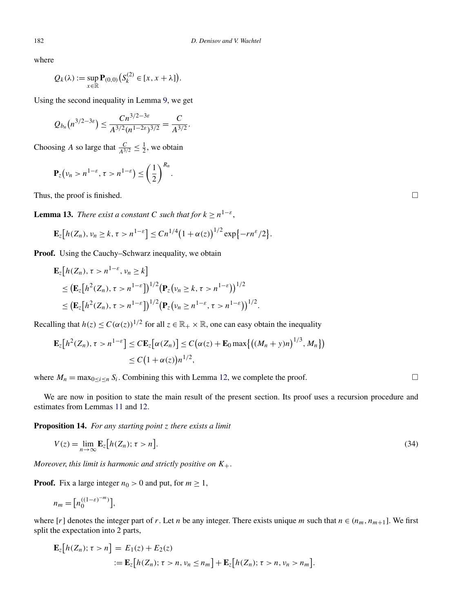where

$$
Q_k(\lambda) := \sup_{x \in \mathbb{R}} \mathbf{P}_{(0,0)}(S_k^{(2)} \in [x, x + \lambda]).
$$

Using the second inequality in Lemma [9,](#page-11-0) we get

$$
Q_{b_n}(n^{3/2-3\varepsilon}) \leq \frac{Cn^{3/2-3\varepsilon}}{A^{3/2}(n^{1-2\varepsilon})^{3/2}} = \frac{C}{A^{3/2}}.
$$

Choosing *A* so large that  $\frac{C}{A^{3/2}} \le \frac{1}{2}$ , we obtain

$$
\mathbf{P}_z(\nu_n > n^{1-\varepsilon}, \tau > n^{1-\varepsilon}) \le \left(\frac{1}{2}\right)^{R_n}.
$$

Thus, the proof is finished.

**Lemma 13.** *There exist a constant C such that for*  $k \ge n^{1-\epsilon}$ ,

$$
\mathbf{E}_{z}[h(Z_{n}), \nu_{n} \geq k, \tau > n^{1-\varepsilon}] \leq Cn^{1/4} (1+\alpha(z))^{1/2} \exp\{-r n^{\varepsilon}/2\}.
$$

**Proof.** Using the Cauchy–Schwarz inequality, we obtain

$$
\mathbf{E}_{z}[h(Z_{n}), \tau > n^{1-\varepsilon}, \nu_{n} \ge k] \n\le (\mathbf{E}_{z}[h^{2}(Z_{n}), \tau > n^{1-\varepsilon}])^{1/2} (\mathbf{P}_{z}(\nu_{n} \ge k, \tau > n^{1-\varepsilon}))^{1/2} \n\le (\mathbf{E}_{z}[h^{2}(Z_{n}), \tau > n^{1-\varepsilon}])^{1/2} (\mathbf{P}_{z}(\nu_{n} \ge n^{1-\varepsilon}, \tau > n^{1-\varepsilon}))^{1/2}.
$$

Recalling that  $h(z) \leq C(\alpha(z))^{1/2}$  for all  $z \in \mathbb{R}_+ \times \mathbb{R}$ , one can easy obtain the inequality

$$
\mathbf{E}_z[h^2(Z_n), \tau > n^{1-\varepsilon}] \leq C \mathbf{E}_z[\alpha(Z_n)] \leq C(\alpha(z) + \mathbf{E}_0 \max\{((M_n + y)n)^{1/3}, M_n\})
$$
  
 
$$
\leq C(1 + \alpha(z))n^{1/2},
$$

where  $M_n = \max_{0 \le i \le n} S_i$ . Combining this with Lemma [12,](#page-14-0) we complete the proof.

We are now in position to state the main result of the present section. Its proof uses a recursion procedure and estimates from Lemmas [11](#page-12-0) and [12.](#page-14-0)

**Proposition 14.** *For any starting point z there exists a limit*

$$
V(z) = \lim_{n \to \infty} \mathbf{E}_z \big[ h(Z_n); \tau > n \big].
$$
\n(34)

*Moreover*, *this limit is harmonic and strictly positive on K*+.

**Proof.** Fix a large integer  $n_0 > 0$  and put, for  $m \ge 1$ ,

$$
n_m = \left[ n_0^{((1-\varepsilon)^{-m})} \right],
$$

where  $[r]$  denotes the integer part of *r*. Let *n* be any integer. There exists unique *m* such that  $n \in (n_m, n_{m+1}]$ . We first split the expectation into 2 parts,

$$
\mathbf{E}_z[h(Z_n); \tau > n] = E_1(z) + E_2(z)
$$
  
 := 
$$
\mathbf{E}_z[h(Z_n); \tau > n, \nu_n \le n_m] + \mathbf{E}_z[h(Z_n); \tau > n, \nu_n > n_m].
$$

<span id="page-15-0"></span>

 $\Box$ 

 $\Box$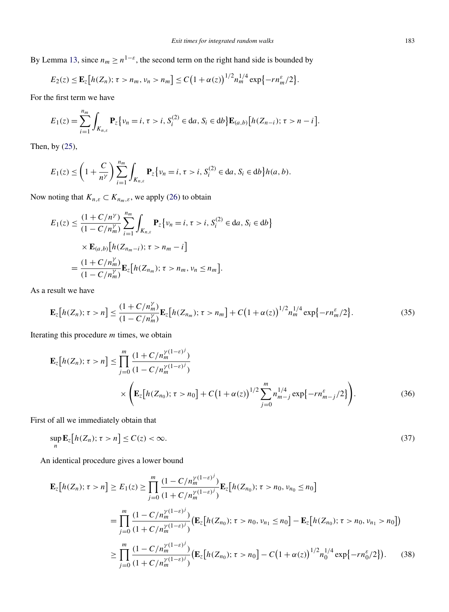<span id="page-16-0"></span>By Lemma [13,](#page-15-0) since  $n_m \ge n^{1-\epsilon}$ , the second term on the right hand side is bounded by

$$
E_2(z) \leq \mathbf{E}_z \big[ h(Z_n); \tau > n_m, \nu_n > n_m \big] \leq C \big( 1 + \alpha(z) \big)^{1/2} n_m^{1/4} \exp \big\{ - r n_m^{\varepsilon} / 2 \big\}.
$$

For the first term we have

$$
E_1(z) = \sum_{i=1}^{n_m} \int_{K_{n,\varepsilon}} \mathbf{P}_z \big\{ v_n = i, \tau > i, S_i^{(2)} \in da, S_i \in db \big\} \mathbf{E}_{(a,b)} \big[ h(Z_{n-i}); \tau > n-i \big].
$$

Then, by [\(25\)](#page-12-0),

$$
E_1(z) \le \left(1 + \frac{C}{n^{\gamma}}\right) \sum_{i=1}^{n_m} \int_{K_{n,\varepsilon}} \mathbf{P}_z \{v_n = i, \tau > i, S_i^{(2)} \in da, S_i \in db\} h(a, b).
$$

Now noting that  $K_{n,\varepsilon} \subset K_{n_m,\varepsilon}$ , we apply [\(26\)](#page-12-0) to obtain

$$
E_1(z) \leq \frac{(1 + C/n^{\gamma})}{(1 - C/n_m^{\gamma})} \sum_{i=1}^{n_m} \int_{K_{n,\varepsilon}} \mathbf{P}_z \{ v_n = i, \tau > i, S_i^{(2)} \in da, S_i \in db \}
$$
  
 
$$
\times \mathbf{E}_{(a,b)} [h(Z_{n_m - i}); \tau > n_m - i]
$$
  
= 
$$
\frac{(1 + C/n_m^{\gamma})}{(1 - C/n_m^{\gamma})} \mathbf{E}_z [h(Z_{n_m}); \tau > n_m, v_n \leq n_m].
$$

As a result we have

$$
\mathbf{E}_{z}[h(Z_{n});\tau>n] \leq \frac{(1+C/n_{m}^{Y})}{(1-C/n_{m}^{Y})}\mathbf{E}_{z}[h(Z_{n_{m}});\tau>n_{m}] + C(1+\alpha(z))^{1/2}n_{m}^{1/4}\exp\{-rn_{m}^{\varepsilon}/2\}.
$$
\n(35)

Iterating this procedure *m* times, we obtain

$$
\mathbf{E}_{z}[h(Z_{n}); \tau > n] \leq \prod_{j=0}^{m} \frac{(1 + C/n_{m}^{\gamma(1-\varepsilon)^{j}})}{(1 - C/n_{m}^{\gamma(1-\varepsilon)^{j}})} \times \left(\mathbf{E}_{z}[h(Z_{n_{0}}); \tau > n_{0}] + C(1 + \alpha(z))^{1/2} \sum_{j=0}^{m} n_{m-j}^{1/4} \exp\{-rn_{m-j}^{\varepsilon}/2\}\right).
$$
 (36)

First of all we immediately obtain that

$$
\sup_{n} \mathbf{E}_{z}[h(Z_{n}); \tau > n] \le C(z) < \infty.
$$
\n(37)

An identical procedure gives a lower bound

$$
\mathbf{E}_{z}[h(Z_{n}); \tau > n] \geq E_{1}(z) \geq \prod_{j=0}^{m} \frac{(1 - C/n_{m}^{\gamma(1-\varepsilon)^{j}})}{(1 + C/n_{m}^{\gamma(1-\varepsilon)^{j}})} \mathbf{E}_{z}[h(Z_{n_{0}}); \tau > n_{0}, \nu_{n_{0}} \leq n_{0}]
$$
\n
$$
= \prod_{j=0}^{m} \frac{(1 - C/n_{m}^{\gamma(1-\varepsilon)^{j}})}{(1 + C/n_{m}^{\gamma(1-\varepsilon)^{j}})} (\mathbf{E}_{z}[h(Z_{n_{0}}); \tau > n_{0}, \nu_{n_{1}} \leq n_{0}] - \mathbf{E}_{z}[h(Z_{n_{0}}); \tau > n_{0}, \nu_{n_{1}} > n_{0}])
$$
\n
$$
\geq \prod_{j=0}^{m} \frac{(1 - C/n_{m}^{\gamma(1-\varepsilon)^{j}})}{(1 + C/n_{m}^{\gamma(1-\varepsilon)^{j}})} (\mathbf{E}_{z}[h(Z_{n_{0}}); \tau > n_{0}] - C(1 + \alpha(z))^{1/2} n_{0}^{1/4} \exp\{-rn_{0}^{\varepsilon}/2\}). \tag{38}
$$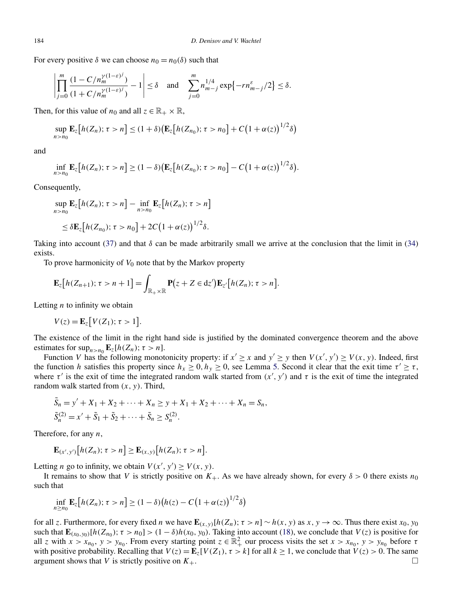For every positive  $\delta$  we can choose  $n_0 = n_0(\delta)$  such that

$$
\left| \prod_{j=0}^{m} \frac{(1 - C/n_m^{\gamma(1-\varepsilon)^j})}{(1 + C/n_m^{\gamma(1-\varepsilon)^j})} - 1 \right| \le \delta \quad \text{and} \quad \sum_{j=0}^{m} n_{m-j}^{1/4} \exp\{-rn_{m-j}^{\varepsilon}/2\} \le \delta.
$$

Then, for this value of  $n_0$  and all  $z \in \mathbb{R}_+ \times \mathbb{R}$ ,

$$
\sup_{n>n_0} \mathbf{E}_z[h(Z_n); \tau > n] \le (1+\delta) \big(\mathbf{E}_z[h(Z_{n_0}); \tau > n_0] + C(1+\alpha(z))^{1/2}\delta\big)
$$

and

$$
\inf_{n>n_0}\mathbf{E}_z[h(Z_n);\tau>n]\geq (1-\delta)\big(\mathbf{E}_z[h(Z_{n_0});\tau>n_0]-C\big(1+\alpha(z)\big)^{1/2}\delta\big).
$$

Consequently,

$$
\sup_{n>n_0} \mathbf{E}_z[h(Z_n); \tau > n] - \inf_{n>n_0} \mathbf{E}_z[h(Z_n); \tau > n]
$$
  

$$
\leq \delta \mathbf{E}_z[h(Z_{n_0}); \tau > n_0] + 2C(1 + \alpha(z))^{1/2} \delta.
$$

Taking into account [\(37\)](#page-16-0) and that  $\delta$  can be made arbitrarily small we arrive at the conclusion that the limit in [\(34\)](#page-15-0) exists.

To prove harmonicity of  $V_0$  note that by the Markov property

$$
\mathbf{E}_{z}\big[h(Z_{n+1});\,\tau>n+1\big]=\int_{\mathbb{R}_{+}\times\mathbb{R}}\mathbf{P}(z+Z\in dz')\mathbf{E}_{z'}\big[h(Z_{n});\,\tau>n\big].
$$

Letting *n* to infinity we obtain

$$
V(z) = \mathbf{E}_z[V(Z_1); \tau > 1].
$$

The existence of the limit in the right hand side is justified by the dominated convergence theorem and the above estimates for  $\sup_{n>n_0} \mathbf{E}_z[h(Z_n); \tau > n].$ 

Function *V* has the following monotonicity property: if  $x' \ge x$  and  $y' \ge y$  then  $V(x', y') \ge V(x, y)$ . Indeed, first the function *h* satisfies this property since  $h_x \ge 0$ ,  $h_y \ge 0$ , see Lemma [5.](#page-5-0) Second it clear that the exit time  $\tau' \ge \tau$ , where  $\tau'$  is the exit of time the integrated random walk started from  $(x', y')$  and  $\tau$  is the exit of time the integrated random walk started from *(x,y)*. Third,

$$
\tilde{S}_n = y' + X_1 + X_2 + \dots + X_n \ge y + X_1 + X_2 + \dots + X_n = S_n,
$$
  
\n
$$
\tilde{S}_n^{(2)} = x' + \tilde{S}_1 + \tilde{S}_2 + \dots + \tilde{S}_n \ge S_n^{(2)}.
$$

Therefore, for any *n*,

$$
\mathbf{E}_{(x',y')}\big[h(Z_n);\tau>n\big]\geq \mathbf{E}_{(x,y)}\big[h(Z_n);\tau>n\big].
$$

Letting *n* go to infinity, we obtain  $V(x', y') \ge V(x, y)$ .

It remains to show that *V* is strictly positive on  $K_{+}$ . As we have already shown, for every  $\delta > 0$  there exists  $n_0$ such that

$$
\inf_{n\geq n_0} \mathbf{E}_z[h(Z_n); \tau > n] \geq (1-\delta)\big(h(z) - C\big(1+\alpha(z)\big)^{1/2}\delta\big)
$$

for all *z*. Furthermore, for every fixed *n* we have  $\mathbf{E}_{(x,y)}[h(Z_n); \tau > n] \sim h(x, y)$  as  $x, y \to \infty$ . Thus there exist  $x_0, y_0$ such that  $\mathbf{E}_{(x_0, y_0)}[h(Z_{n_0}); \tau > n_0] > (1 - \delta)h(x_0, y_0)$ . Taking into account [\(18\)](#page-7-0), we conclude that  $V(z)$  is positive for all *z* with  $x > x_{n_0}$ ,  $y > y_{n_0}$ . From every starting point  $z \in \mathbb{R}^2_+$  our process visits the set  $x > x_{n_0}$ ,  $y > y_{n_0}$  before  $\tau$ with positive probability. Recalling that  $V(z) = \mathbf{E}_z[V(Z_1), \tau > k]$  for all  $k \ge 1$ , we conclude that  $V(z) > 0$ . The same argument shows that *V* is strictly positive on  $K_{+}$ .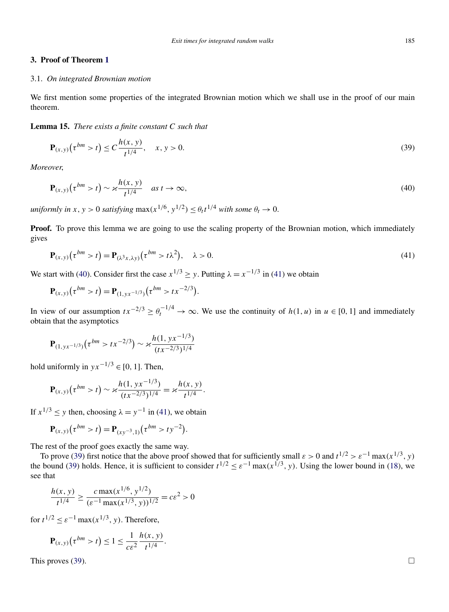# <span id="page-18-0"></span>**3. Proof of Theorem [1](#page-2-0)**

#### 3.1. *On integrated Brownian motion*

We first mention some properties of the integrated Brownian motion which we shall use in the proof of our main theorem.

#### **Lemma 15.** *There exists a finite constant C such that*

$$
\mathbf{P}_{(x,y)}\left(\tau^{bm} > t\right) \le C \frac{h(x,y)}{t^{1/4}}, \quad x, y > 0. \tag{39}
$$

*Moreover*,

$$
\mathbf{P}_{(x,y)}(\tau^{bm} > t) \sim \varkappa \frac{h(x,y)}{t^{1/4}} \quad as \ t \to \infty,
$$
\n(40)

*uniformly in*  $x, y > 0$  *satisfying* max $(x^{1/6}, y^{1/2}) \le \theta_t t^{1/4}$  *with some*  $\theta_t \to 0$ .

**Proof.** To prove this lemma we are going to use the scaling property of the Brownian motion, which immediately gives

$$
\mathbf{P}_{(x,y)}(\tau^{bm} > t) = \mathbf{P}_{(\lambda^3 x, \lambda y)}(\tau^{bm} > t\lambda^2), \quad \lambda > 0.
$$
\n(41)

We start with (40). Consider first the case  $x^{1/3} \ge y$ . Putting  $\lambda = x^{-1/3}$  in (41) we obtain

$$
\mathbf{P}_{(x,y)}(\tau^{bm} > t) = \mathbf{P}_{(1,yx^{-1/3})}(\tau^{bm} > t x^{-2/3}).
$$

In view of our assumption  $tx^{-2/3} \geq \theta_t^{-1/4} \to \infty$ . We use the continuity of  $h(1, u)$  in  $u \in [0, 1]$  and immediately obtain that the asymptotics

$$
\mathbf{P}_{(1,yx^{-1/3})}(\tau^{bm} > tx^{-2/3}) \sim \varkappa \frac{h(1,yx^{-1/3})}{(tx^{-2/3})^{1/4}}
$$

hold uniformly in  $yx^{-1/3}$  ∈ [0, 1]. Then,

$$
\mathbf{P}_{(x,y)}(\tau^{bm} > t) \sim \varkappa \frac{h(1, yx^{-1/3})}{(tx^{-2/3})^{1/4}} = \varkappa \frac{h(x, y)}{t^{1/4}}.
$$

If  $x^{1/3} \le y$  then, choosing  $\lambda = y^{-1}$  in (41), we obtain

$$
\mathbf{P}_{(x,y)}(\tau^{bm} > t) = \mathbf{P}_{(xy^{-3},1)}(\tau^{bm} > ty^{-2}).
$$

The rest of the proof goes exactly the same way.

To prove (39) first notice that the above proof showed that for sufficiently small  $\varepsilon > 0$  and  $t^{1/2} > \varepsilon^{-1} \max(x^{1/3}, y)$ the bound (39) holds. Hence, it is sufficient to consider  $t^{1/2} \leq \varepsilon^{-1} \max(x^{1/3}, y)$ . Using the lower bound in [\(18\)](#page-7-0), we see that

$$
\frac{h(x, y)}{t^{1/4}} \ge \frac{c \max(x^{1/6}, y^{1/2})}{(e^{-1} \max(x^{1/3}, y))^{1/2}} = c\epsilon^2 > 0
$$

for  $t^{1/2} \leq \varepsilon^{-1} \max(x^{1/3}, y)$ . Therefore,

$$
\mathbf{P}_{(x,y)}\big(\tau^{bm} > t\big) \leq 1 \leq \frac{1}{c\epsilon^2} \frac{h(x,y)}{t^{1/4}}.
$$

This proves (39).  $\Box$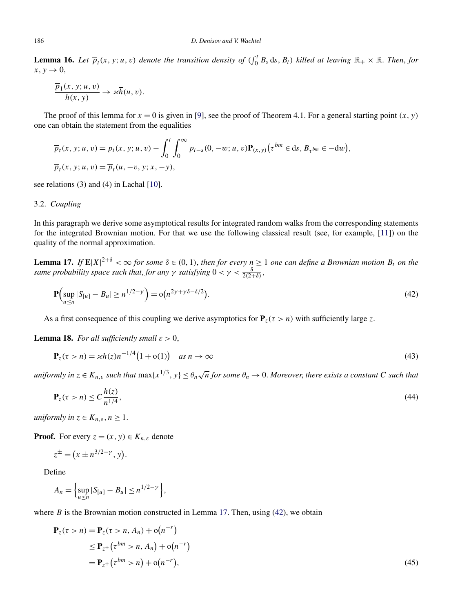<span id="page-19-0"></span>**Lemma 16.** Let  $\overline{p}_t(x, y; u, v)$  denote the transition density of  $(\int_0^t B_s ds, B_t)$  killed at leaving  $\mathbb{R}_+ \times \mathbb{R}$ . Then, for  $x, y \rightarrow 0$ ,

$$
\frac{\overline{p}_1(x, y; u, v)}{h(x, y)} \to \varkappa \overline{h}(u, v).
$$

The proof of this lemma for  $x = 0$  is given in [\[9\]](#page-25-0), see the proof of Theorem 4.1. For a general starting point  $(x, y)$ one can obtain the statement from the equalities

$$
\overline{p}_t(x, y; u, v) = p_t(x, y; u, v) - \int_0^t \int_0^\infty p_{t-s}(0, -w; u, v) \mathbf{P}_{(x, y)}(\tau^{bm} \in ds, B_{\tau^{bm}} \in -dw), \n\overline{p}_t(x, y; u, v) = \overline{p}_t(u, -v, y; x, -y),
$$

see relations (3) and (4) in Lachal [\[10\]](#page-26-0).

#### 3.2. *Coupling*

In this paragraph we derive some asymptotical results for integrated random walks from the corresponding statements for the integrated Brownian motion. For that we use the following classical result (see, for example, [\[11\]](#page-26-0)) on the quality of the normal approximation.

**Lemma 17.** If  $\mathbf{E}|X|^{2+\delta} < \infty$  for some  $\delta \in (0,1)$ , then for every  $n \geq 1$  one can define a Brownian motion  $B_t$  on the *same probability space such that, for any*  $\gamma$  *satisfying*  $0 < \gamma < \frac{\delta}{2(2+\delta)}$ ,

$$
\mathbf{P}\Big(\sup_{u \le n} |S_{[u]} - B_u| \ge n^{1/2 - \gamma}\Big) = o\big(n^{2\gamma + \gamma \delta - \delta/2}\big). \tag{42}
$$

As a first consequence of this coupling we derive asymptotics for  $P_z(\tau > n)$  with sufficiently large *z*.

**Lemma 18.** *For all sufficiently small*  $\varepsilon > 0$ ,

$$
\mathbf{P}_z(\tau > n) = \varkappa h(z) n^{-1/4} \big( 1 + \mathbf{o}(1) \big) \quad \text{as } n \to \infty \tag{43}
$$

*uniformly in*  $z \in K_{n,\varepsilon}$  *such that*  $\max\{x^{1/3},y\} \leq \theta_n\sqrt{n}$  *for some*  $\theta_n \to 0$ *. Moreover, there exists a constant C such that* 

$$
\mathbf{P}_z(\tau > n) \le C \frac{h(z)}{n^{1/4}},\tag{44}
$$

*uniformly in*  $z \in K_{n,\varepsilon}$ ,  $n \geq 1$ .

**Proof.** For every  $z = (x, y) \in K_{n, \varepsilon}$  denote

$$
z^{\pm} = (x \pm n^{3/2 - \gamma}, y).
$$

Define

$$
A_n = \left\{ \sup_{u \le n} |S_{[u]} - B_u| \le n^{1/2 - \gamma} \right\},\,
$$

where  $B$  is the Brownian motion constructed in Lemma 17. Then, using  $(42)$ , we obtain

$$
\begin{aligned} \mathbf{P}_z(\tau > n) &= \mathbf{P}_z(\tau > n, A_n) + \mathbf{o}(n^{-r}) \\ &\le \mathbf{P}_{z^+}(\tau^{bm} > n, A_n) + \mathbf{o}(n^{-r}) \\ &= \mathbf{P}_{z^+}(\tau^{bm} > n) + \mathbf{o}(n^{-r}), \end{aligned} \tag{45}
$$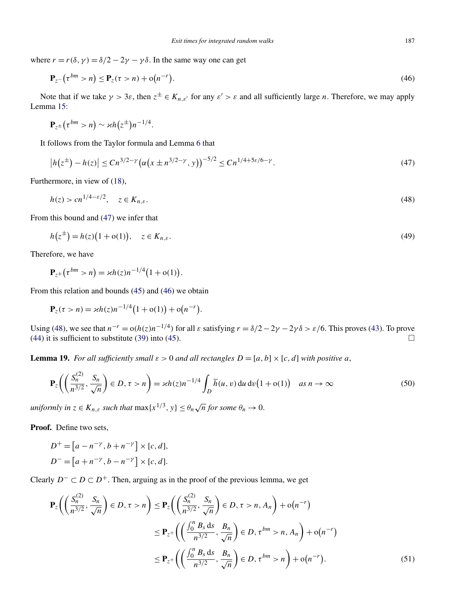<span id="page-20-0"></span>where  $r = r(\delta, \gamma) = \delta/2 - 2\gamma - \gamma \delta$ . In the same way one can get

$$
\mathbf{P}_{z^{-}}(\tau^{bm} > n) \leq \mathbf{P}_{z}(\tau > n) + o(n^{-r}).
$$
\n(46)

Note that if we take  $\gamma > 3\varepsilon$ , then  $z^{\pm} \in K_{n,\varepsilon'}$  for any  $\varepsilon' > \varepsilon$  and all sufficiently large *n*. Therefore, we may apply Lemma [15:](#page-18-0)

$$
\mathbf{P}_{z^{\pm}}(\tau^{bm}>n)\sim \varkappa h(z^{\pm})n^{-1/4}.
$$

It follows from the Taylor formula and Lemma [6](#page-7-0) that

$$
\left| h(z^{\pm}) - h(z) \right| \leq C n^{3/2 - \gamma} \left( \alpha \left( x \pm n^{3/2 - \gamma}, y \right) \right)^{-5/2} \leq C n^{1/4 + 5\varepsilon/6 - \gamma}.
$$
\n(47)

Furthermore, in view of [\(18\)](#page-7-0),

$$
h(z) > c n^{1/4 - \varepsilon/2}, \quad z \in K_{n,\varepsilon}.\tag{48}
$$

From this bound and (47) we infer that

$$
h(z^{\pm}) = h(z)(1 + o(1)), \quad z \in K_{n,\varepsilon}.
$$
\n(49)

Therefore, we have

$$
\mathbf{P}_{z^{\pm}}(\tau^{bm} > n) = \varkappa h(z) n^{-1/4} (1 + o(1)).
$$

From this relation and bounds [\(45\)](#page-19-0) and (46) we obtain

$$
\mathbf{P}_z(\tau > n) = \varkappa h(z) n^{-1/4} (1 + o(1)) + o(n^{-r}).
$$

Using (48), we see that  $n^{-r} = o(h(z)n^{-1/4})$  for all  $\varepsilon$  satisfying  $r = \delta/2 - 2\gamma - 2\gamma\delta > \varepsilon/6$ . This proves [\(43\)](#page-19-0). To prove [\(44\)](#page-19-0) it is sufficient to substitute [\(39\)](#page-18-0) into [\(45\)](#page-19-0).

**Lemma 19.** *For all sufficiently small*  $\varepsilon > 0$  *and all rectangles*  $D = [a, b] \times [c, d]$  *with positive a*,

$$
\mathbf{P}_z \bigg( \bigg( \frac{S_n^{(2)}}{n^{3/2}}, \frac{S_n}{\sqrt{n}} \bigg) \in D, \tau > n \bigg) = \varkappa h(z) n^{-1/4} \int_D \overline{h}(u, v) \, du \, dv \big( 1 + o(1) \big) \quad \text{as } n \to \infty \tag{50}
$$

*uniformly in*  $z \in K_{n,\varepsilon}$  *such that*  $\max\{x^{1/3}, y\} \leq \theta_n \sqrt{n}$  *for some*  $\theta_n \to 0$ .

**Proof.** Define two sets,

$$
D^{+} = [a - n^{-\gamma}, b + n^{-\gamma}] \times [c, d],
$$
  

$$
D^{-} = [a + n^{-\gamma}, b - n^{-\gamma}] \times [c, d].
$$

Clearly *D*<sup>−</sup> ⊂ *D* ⊂ *D*<sup>+</sup>. Then, arguing as in the proof of the previous lemma, we get

$$
\mathbf{P}_{z}\left(\left(\frac{S_{n}^{(2)}}{n^{3/2}}, \frac{S_{n}}{\sqrt{n}}\right) \in D, \tau > n\right) \leq \mathbf{P}_{z}\left(\left(\frac{S_{n}^{(2)}}{n^{3/2}}, \frac{S_{n}}{\sqrt{n}}\right) \in D, \tau > n, A_{n}\right) + o(n^{-r})
$$
  

$$
\leq \mathbf{P}_{z^{+}}\left(\left(\frac{\int_{0}^{n} B_{s} ds}{n^{3/2}}, \frac{B_{n}}{\sqrt{n}}\right) \in D, \tau^{bm} > n, A_{n}\right) + o(n^{-r})
$$
  

$$
\leq \mathbf{P}_{z^{+}}\left(\left(\frac{\int_{0}^{n} B_{s} ds}{n^{3/2}}, \frac{B_{n}}{\sqrt{n}}\right) \in D, \tau^{bm} > n\right) + o(n^{-r}).
$$
 (51)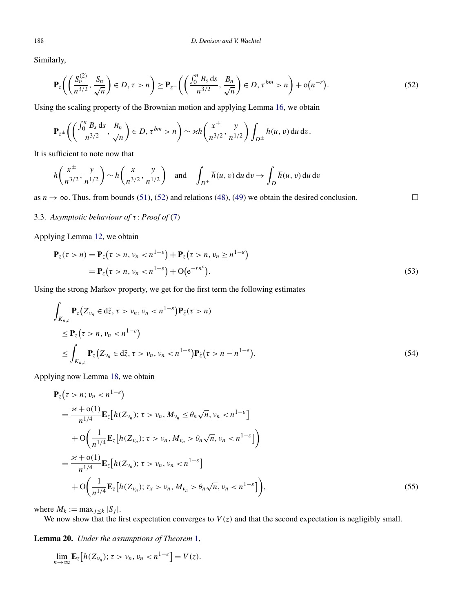Similarly,

$$
\mathbf{P}_{z}\bigg(\bigg(\frac{S_{n}^{(2)}}{n^{3/2}},\frac{S_{n}}{\sqrt{n}}\bigg)\in D,\,\tau>n\bigg)\geq \mathbf{P}_{z^{-}}\bigg(\bigg(\frac{\int_{0}^{n}B_{s}ds}{n^{3/2}},\frac{B_{n}}{\sqrt{n}}\bigg)\in D,\,\tau^{bm}>n\bigg)+o(n^{-r}).\tag{52}
$$

Using the scaling property of the Brownian motion and applying Lemma [16,](#page-19-0) we obtain

$$
\mathbf{P}_{z^{\pm}}\bigg(\bigg(\frac{\int_0^n B_s ds}{n^{3/2}}, \frac{B_n}{\sqrt{n}}\bigg) \in D, \tau^{bm} > n\bigg) \sim \varkappa h\bigg(\frac{x^{\pm}}{n^{3/2}}, \frac{y}{n^{1/2}}\bigg) \int_{D^{\pm}} \overline{h}(u, v) du dv.
$$

It is sufficient to note now that

$$
h\left(\frac{x^{\pm}}{n^{3/2}}, \frac{y}{n^{1/2}}\right) \sim h\left(\frac{x}{n^{3/2}}, \frac{y}{n^{1/2}}\right) \text{ and } \int_{D^{\pm}} \overline{h}(u, v) du dv \to \int_{D} \overline{h}(u, v) du dv
$$

as  $n \to \infty$ . Thus, from bounds [\(51\)](#page-20-0), (52) and relations [\(48\)](#page-20-0), [\(49\)](#page-20-0) we obtain the desired conclusion.

3.3. *Asymptotic behaviour of τ* : *Proof of* [\(7\)](#page-2-0)

Applying Lemma [12,](#page-14-0) we obtain

$$
\mathbf{P}_z(\tau > n) = \mathbf{P}_z(\tau > n, \nu_n < n^{1-\epsilon}) + \mathbf{P}_z(\tau > n, \nu_n \ge n^{1-\epsilon})
$$
  
=  $\mathbf{P}_z(\tau > n, \nu_n < n^{1-\epsilon}) + O(e^{-rn^{\epsilon}}).$  (53)

 $\Box$ 

Using the strong Markov property, we get for the first term the following estimates

$$
\int_{K_{n,\varepsilon}} \mathbf{P}_z \big( Z_{\nu_n} \in d\tilde{z}, \tau > \nu_n, \nu_n < n^{1-\varepsilon} \big) \mathbf{P}_{\tilde{z}}(\tau > n)
$$
\n
$$
\leq \mathbf{P}_z \big( \tau > n, \nu_n < n^{1-\varepsilon} \big)
$$
\n
$$
\leq \int_{K_{n,\varepsilon}} \mathbf{P}_z \big( Z_{\nu_n} \in d\tilde{z}, \tau > \nu_n, \nu_n < n^{1-\varepsilon} \big) \mathbf{P}_{\tilde{z}} \big( \tau > n - n^{1-\varepsilon} \big).
$$
\n(54)

Applying now Lemma [18,](#page-19-0) we obtain

$$
\begin{split} \mathbf{P}_{z}(\tau > n; v_{n} < n^{1-\varepsilon}) \\ &= \frac{\varkappa + o(1)}{n^{1/4}} \mathbf{E}_{z} \big[ h(Z_{v_{n}}); \tau > v_{n}, M_{v_{n}} \le \theta_{n} \sqrt{n}, v_{n} < n^{1-\varepsilon} \big] \\ &+ \mathcal{O}\bigg( \frac{1}{n^{1/4}} \mathbf{E}_{z} \big[ h(Z_{v_{n}}); \tau > v_{n}, M_{v_{n}} > \theta_{n} \sqrt{n}, v_{n} < n^{1-\varepsilon} \big] \bigg) \\ &= \frac{\varkappa + o(1)}{n^{1/4}} \mathbf{E}_{z} \big[ h(Z_{v_{n}}); \tau > v_{n}, v_{n} < n^{1-\varepsilon} \big] \\ &+ \mathcal{O}\bigg( \frac{1}{n^{1/4}} \mathbf{E}_{z} \big[ h(Z_{v_{n}}); \tau_{x} > v_{n}, M_{v_{n}} > \theta_{n} \sqrt{n}, v_{n} < n^{1-\varepsilon} \big] \bigg), \end{split} \tag{55}
$$

where  $M_k := \max_{j \leq k} |S_j|$ .

We now show that the first expectation converges to  $V(z)$  and that the second expectation is negligibly small.

**Lemma 20.** *Under the assumptions of Theorem* [1,](#page-2-0)

$$
\lim_{n\to\infty}\mathbf{E}_z[h(Z_{\nu_n});\,\tau>\nu_n,\nu_n
$$

<span id="page-21-0"></span>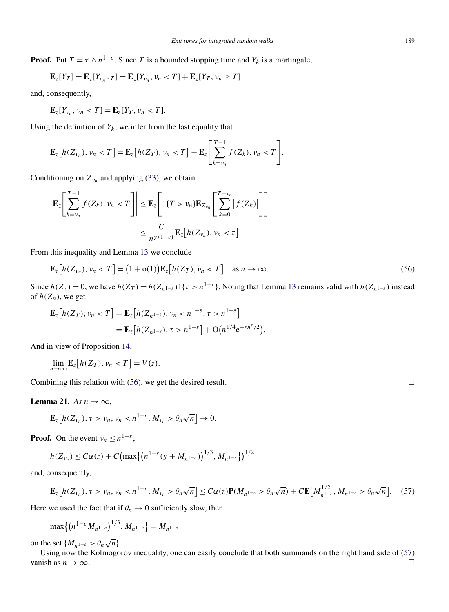<span id="page-22-0"></span>**Proof.** Put  $T = \tau \wedge n^{1-\epsilon}$ . Since *T* is a bounded stopping time and  $Y_k$  is a martingale,

$$
\mathbf{E}_{z}[Y_T] = \mathbf{E}_{z}[Y_{\nu_n \wedge T}] = \mathbf{E}_{z}[Y_{\nu_n}, \nu_n < T] + \mathbf{E}_{z}[Y_T, \nu_n \geq T]
$$

and, consequently,

$$
\mathbf{E}_{z}[Y_{\nu_n},\nu_n
$$

Using the definition of  $Y_k$ , we infer from the last equality that

$$
\mathbf{E}_{z}\big[h(Z_{\nu_n}),\nu_n
$$

Conditioning on  $Z_{\nu_n}$  and applying [\(33\)](#page-14-0), we obtain

$$
\left| \mathbf{E}_{z} \left[ \sum_{k=v_{n}}^{T-1} f(Z_{k}), v_{n} < T \right] \right| \leq \mathbf{E}_{z} \left[ 1\{T > v_{n}\} \mathbf{E}_{Z_{v_{n}}} \left[ \sum_{k=0}^{T-v_{n}} |f(Z_{k})| \right] \right]
$$
  

$$
\leq \frac{C}{n^{\gamma(1-\varepsilon)}} \mathbf{E}_{z} \left[ h(Z_{v_{n}}), v_{n} < \tau \right].
$$

From this inequality and Lemma [13](#page-15-0) we conclude

$$
\mathbf{E}_z[h(Z_{\nu_n}), \nu_n < T] = (1 + o(1))\mathbf{E}_z[h(Z_T), \nu_n < T] \quad \text{as } n \to \infty. \tag{56}
$$

Since  $h(Z_{\tau}) = 0$ , we have  $h(Z_T) = h(Z_{n^{1-\epsilon}})1\{\tau > n^{1-\epsilon}\}\)$ . Noting that Lemma [13](#page-15-0) remains valid with  $h(Z_{n^{1-\epsilon}})$  instead of  $h(Z_n)$ , we get

$$
\mathbf{E}_z[h(Z_T), \nu_n < T] = \mathbf{E}_z[h(Z_{n^{1-\varepsilon}}), \nu_n < n^{1-\varepsilon}, \tau > n^{1-\varepsilon}]
$$
\n
$$
= \mathbf{E}_z[h(Z_{n^{1-\varepsilon}}), \tau > n^{1-\varepsilon}] + \mathcal{O}\big(n^{1/4}e^{-rn^{\varepsilon}/2}\big).
$$

And in view of Proposition [14,](#page-15-0)

$$
\lim_{n\to\infty}\mathbf{E}_z[h(Z_T),\nu_n
$$

Combining this relation with  $(56)$ , we get the desired result.

**Lemma 21.** *As*  $n \to \infty$ ,

$$
\mathbf{E}_z[h(Z_{\nu_n}), \tau > \nu_n, \nu_n < n^{1-\varepsilon}, M_{\nu_n} > \theta_n \sqrt{n}] \to 0.
$$

**Proof.** On the event  $v_n \leq n^{1-\epsilon}$ ,

$$
h(Z_{\nu_n}) \leq C\alpha(z) + C \big( \max \big\{ \big( n^{1-\varepsilon} (y + M_{n^{1-\varepsilon}}) \big)^{1/3}, M_{n^{1-\varepsilon}} \big\} \big)^{1/2}
$$

and, consequently,

$$
\mathbf{E}_{z}[h(Z_{\nu_n}), \tau > \nu_n, \nu_n < n^{1-\varepsilon}, M_{\nu_n} > \theta_n \sqrt{n}] \leq C\alpha(z)\mathbf{P}(M_{n^{1-\varepsilon}} > \theta_n \sqrt{n}) + C\mathbf{E}[M_{n^{1-\varepsilon}}^{1/2}, M_{n^{1-\varepsilon}} > \theta_n \sqrt{n}].
$$
 (57)

Here we used the fact that if  $\theta_n \to 0$  sufficiently slow, then

$$
\max\{(n^{1-\varepsilon}M_{n^{1-\varepsilon}})^{1/3},M_{n^{1-\varepsilon}}\}=M_{n^{1-\varepsilon}}
$$

on the set  $\{M_{n^{1-\varepsilon}} > \theta_n \sqrt{n}\}.$ 

Using now the Kolmogorov inequality, one can easily conclude that both summands on the right hand side of (57) vanish as  $n \to \infty$ .

 $\Box$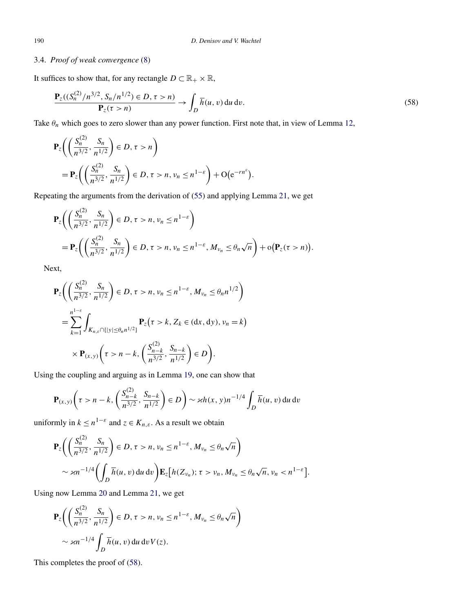# 3.4. *Proof of weak convergence* [\(8\)](#page-2-0)

It suffices to show that, for any rectangle  $D \subset \mathbb{R}_+ \times \mathbb{R}$ ,

$$
\frac{\mathbf{P}_z((S_n^{(2)}/n^{3/2}, S_n/n^{1/2}) \in D, \tau > n)}{\mathbf{P}_z(\tau > n)} \to \int_D \overline{h}(u, v) du dv.
$$
\n(58)

Take  $\theta_n$  which goes to zero slower than any power function. First note that, in view of Lemma [12,](#page-14-0)

$$
\mathbf{P}_z \bigg( \bigg( \frac{S_n^{(2)}}{n^{3/2}}, \frac{S_n}{n^{1/2}} \bigg) \in D, \tau > n \bigg) \n= \mathbf{P}_z \bigg( \bigg( \frac{S_n^{(2)}}{n^{3/2}}, \frac{S_n}{n^{1/2}} \bigg) \in D, \tau > n, \nu_n \le n^{1-\varepsilon} \bigg) + \mathcal{O}(\mathrm{e}^{-r n^{\varepsilon}}).
$$

Repeating the arguments from the derivation of [\(55\)](#page-21-0) and applying Lemma [21,](#page-22-0) we get

$$
\mathbf{P}_{z}\bigg(\bigg(\frac{S_{n}^{(2)}}{n^{3/2}}, \frac{S_{n}}{n^{1/2}}\bigg) \in D, \tau > n, \nu_{n} \leq n^{1-\varepsilon}\bigg) \n= \mathbf{P}_{z}\bigg(\bigg(\frac{S_{n}^{(2)}}{n^{3/2}}, \frac{S_{n}}{n^{1/2}}\bigg) \in D, \tau > n, \nu_{n} \leq n^{1-\varepsilon}, M_{\nu_{n}} \leq \theta_{n}\sqrt{n}\bigg) + o\big(\mathbf{P}_{z}(\tau > n)\big).
$$

Next,

$$
\mathbf{P}_{z}\bigg(\bigg(\frac{S_{n}^{(2)}}{n^{3/2}}, \frac{S_{n}}{n^{1/2}}\bigg) \in D, \tau > n, \nu_{n} \leq n^{1-\varepsilon}, M_{\nu_{n}} \leq \theta_{n} n^{1/2}\bigg)
$$
  
= 
$$
\sum_{k=1}^{n^{1-\varepsilon}} \int_{K_{n,\varepsilon} \cap \{|y| \leq \theta_{n} n^{1/2}\}} \mathbf{P}_{z}\big(\tau > k, Z_{k} \in (\mathrm{d}x, \mathrm{d}y), \nu_{n} = k\big)
$$
  

$$
\times \mathbf{P}_{(x,y)}\bigg(\tau > n - k, \bigg(\frac{S_{n-k}^{(2)}}{n^{3/2}}, \frac{S_{n-k}}{n^{1/2}}\bigg) \in D\bigg).
$$

Using the coupling and arguing as in Lemma [19,](#page-20-0) one can show that

$$
\mathbf{P}_{(x,y)}\bigg(\tau > n - k, \left(\frac{S_{n-k}^{(2)}}{n^{3/2}}, \frac{S_{n-k}}{n^{1/2}}\right) \in D\bigg) \sim \varkappa h(x,y)n^{-1/4} \int_D \overline{h}(u,v) \, du \, dv
$$

uniformly in  $k \leq n^{1-\varepsilon}$  and  $z \in K_{n,\varepsilon}$ . As a result we obtain

$$
\mathbf{P}_{z}\bigg(\bigg(\frac{S_{n}^{(2)}}{n^{3/2}},\frac{S_{n}}{n^{1/2}}\bigg) \in D, \tau > n, \nu_{n} \leq n^{1-\varepsilon}, M_{\nu_{n}} \leq \theta_{n}\sqrt{n}\bigg)
$$
  
\$\sim \varkappa n^{-1/4}\bigg(\int\_{D} \overline{h}(u,v) du dv\bigg)\mathbf{E}\_{z}\big[h(Z\_{\nu\_{n}}); \tau > \nu\_{n}, M\_{\nu\_{n}} \leq \theta\_{n}\sqrt{n}, \nu\_{n} < n^{1-\varepsilon}\big].

Using now Lemma [20](#page-21-0) and Lemma [21,](#page-22-0) we get

$$
\mathbf{P}_z \bigg( \bigg( \frac{S_n^{(2)}}{n^{3/2}}, \frac{S_n}{n^{1/2}} \bigg) \in D, \tau > n, \nu_n \le n^{1-\varepsilon}, M_{\nu_n} \le \theta_n \sqrt{n} \bigg)
$$
  
\$\sim \varkappa n^{-1/4} \int\_D \overline{h}(u, v) du dv V(z).

This completes the proof of (58).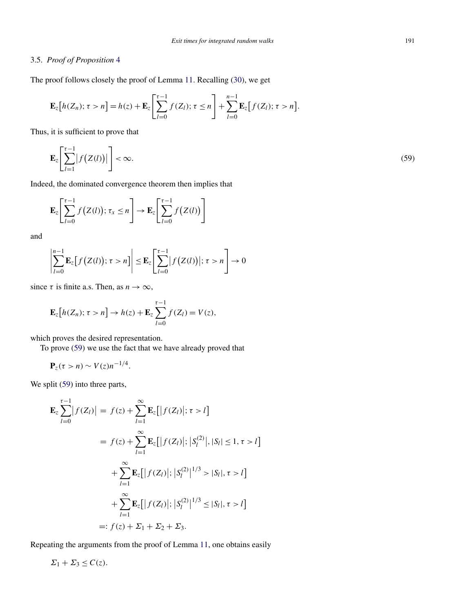# <span id="page-24-0"></span>3.5. *Proof of Proposition* [4](#page-3-0)

The proof follows closely the proof of Lemma [11.](#page-12-0) Recalling [\(30\)](#page-12-0), we get

$$
\mathbf{E}_z[h(Z_n); \tau > n] = h(z) + \mathbf{E}_z \left[\sum_{l=0}^{\tau-1} f(Z_l); \tau \leq n\right] + \sum_{l=0}^{n-1} \mathbf{E}_z[f(Z_l); \tau > n].
$$

Thus, it is sufficient to prove that

$$
\mathbf{E}_{z}\left[\sum_{l=1}^{\tau-1}|f\left(Z(l)\right)|\right]<\infty.\tag{59}
$$

Indeed, the dominated convergence theorem then implies that

$$
\mathbf{E}_{z}\left[\sum_{l=0}^{\tau-1}f\big(Z(l)\big);\,\tau_{x}\leq n\right]\to\mathbf{E}_{z}\left[\sum_{l=0}^{\tau-1}f\big(Z(l)\big)\right]
$$

and

$$
\left|\sum_{l=0}^{n-1} \mathbf{E}_z[f(Z(l)); \tau > n]\right| \leq \mathbf{E}_z\left[\sum_{l=0}^{\tau-1} |f(Z(l))|; \tau > n\right] \to 0
$$

since  $\tau$  is finite a.s. Then, as  $n \to \infty$ ,

$$
\mathbf{E}_z[h(Z_n); \tau > n] \to h(z) + \mathbf{E}_z \sum_{l=0}^{\tau-1} f(Z_l) = V(z),
$$

which proves the desired representation.

To prove (59) we use the fact that we have already proved that

$$
\mathbf{P}_z(\tau > n) \sim V(z) n^{-1/4}.
$$

We split (59) into three parts,

$$
\mathbf{E}_{z} \sum_{l=0}^{\tau-1} |f(Z_{l})| = f(z) + \sum_{l=1}^{\infty} \mathbf{E}_{z}[|f(Z_{l})|; \tau > l]
$$
  
=  $f(z) + \sum_{l=1}^{\infty} \mathbf{E}_{z}[|f(Z_{l})|; |S_{l}^{(2)}|, |S_{l}| \le 1, \tau > l]$   
+  $\sum_{l=1}^{\infty} \mathbf{E}_{z}[|f(Z_{l})|; |S_{l}^{(2)}|^{1/3} > |S_{l}|, \tau > l]$   
+  $\sum_{l=1}^{\infty} \mathbf{E}_{z}[|f(Z_{l})|; |S_{l}^{(2)}|^{1/3} \le |S_{l}|, \tau > l]$   
=:  $f(z) + \Sigma_{1} + \Sigma_{2} + \Sigma_{3}$ .

Repeating the arguments from the proof of Lemma [11,](#page-12-0) one obtains easily

$$
\Sigma_1 + \Sigma_3 \le C(z).
$$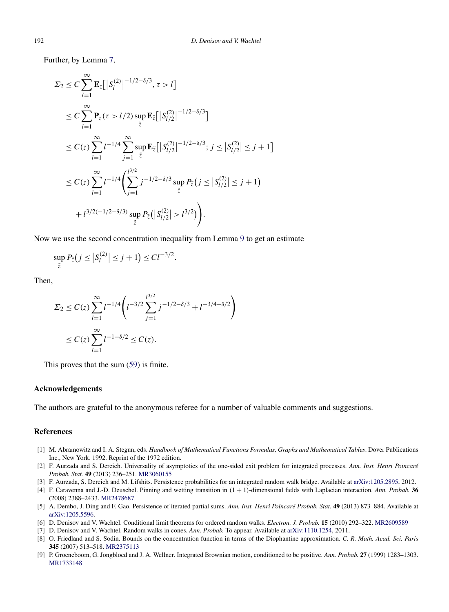<span id="page-25-0"></span>Further, by Lemma [7,](#page-8-0)

$$
\Sigma_2 \leq C \sum_{l=1}^{\infty} \mathbf{E}_z \Big[ |S_l^{(2)}|^{-1/2 - \delta/3}, \tau > l \Big]
$$
  
\n
$$
\leq C \sum_{l=1}^{\infty} \mathbf{P}_z(\tau > l/2) \sup_{\tilde{z}} \mathbf{E}_{\tilde{z}} \Big[ |S_{l/2}^{(2)}|^{-1/2 - \delta/3} \Big]
$$
  
\n
$$
\leq C(z) \sum_{l=1}^{\infty} l^{-1/4} \sum_{j=1}^{\infty} \sup_{\tilde{z}} \mathbf{E}_{\tilde{z}} \Big[ |S_{l/2}^{(2)}|^{-1/2 - \delta/3}; j \leq |S_{l/2}^{(2)}| \leq j+1 \Big]
$$
  
\n
$$
\leq C(z) \sum_{l=1}^{\infty} l^{-1/4} \Big( \sum_{j=1}^{l^{3/2}} j^{-1/2 - \delta/3} \sup_{\tilde{z}} P_{\tilde{z}}(j \leq |S_{l/2}^{(2)}| \leq j+1) + l^{3/2(-1/2 - \delta/3)} \sup_{\tilde{z}} P_{\tilde{z}} \Big( |S_{l/2}^{(2)}| > l^{3/2} \Big) \Big).
$$

Now we use the second concentration inequality from Lemma [9](#page-11-0) to get an estimate

$$
\sup_{\tilde{z}} P_{\tilde{z}}(j \leq |S_l^{(2)}| \leq j+1) \leq C l^{-3/2}.
$$

Then,

$$
\Sigma_2 \le C(z) \sum_{l=1}^{\infty} l^{-1/4} \left( l^{-3/2} \sum_{j=1}^{l^{3/2}} j^{-1/2 - \delta/3} + l^{-3/4 - \delta/2} \right)
$$
  

$$
\le C(z) \sum_{l=1}^{\infty} l^{-1 - \delta/2} \le C(z).
$$

This proves that the sum [\(59\)](#page-24-0) is finite.

#### **Acknowledgements**

The authors are grateful to the anonymous referee for a number of valuable comments and suggestions.

# **References**

- [1] M. Abramowitz and I. A. Stegun, eds. *Handbook of Mathematical Functions Formulas, Graphs and Mathematical Tables*. Dover Publications Inc., New York. 1992. Reprint of the 1972 edition.
- [2] F. Aurzada and S. Dereich. Universality of asymptotics of the one-sided exit problem for integrated processes. *Ann. Inst. Henri Poincaré Probab. Stat.* **49** (2013) 236–251. [MR3060155](http://www.ams.org/mathscinet-getitem?mr=3060155)
- [3] F. Aurzada, S. Dereich and M. Lifshits. Persistence probabilities for an integrated random walk bridge. Available at [arXiv:1205.2895](http://arxiv.org/abs/arXiv:1205.2895), 2012.
- [4] F. Caravenna and J.-D. Deuschel. Pinning and wetting transition in *(*1 + 1*)*-dimensional fields with Laplacian interaction. *Ann. Probab.* **36** (2008) 2388–2433. [MR2478687](http://www.ams.org/mathscinet-getitem?mr=2478687)
- [5] A. Dembo, J. Ding and F. Gao. Persistence of iterated partial sums. *Ann. Inst. Henri Poincaré Probab. Stat.* **49** (2013) 873–884. Available at [arXiv:1205.5596](http://arxiv.org/abs/arXiv:1205.5596).
- [6] D. Denisov and V. Wachtel. Conditional limit theorems for ordered random walks. *Electron. J. Probab.* **15** (2010) 292–322. [MR2609589](http://www.ams.org/mathscinet-getitem?mr=2609589)
- [7] D. Denisov and V. Wachtel. Random walks in cones. *Ann. Probab.* To appear. Available at [arXiv:1110.1254,](http://arxiv.org/abs/arXiv:1110.1254) 2011.
- [8] O. Friedland and S. Sodin. Bounds on the concentration function in terms of the Diophantine approximation. *C. R. Math. Acad. Sci. Paris* **345** (2007) 513–518. [MR2375113](http://www.ams.org/mathscinet-getitem?mr=2375113)
- [9] P. Groeneboom, G. Jongbloed and J. A. Wellner. Integrated Brownian motion, conditioned to be positive. *Ann. Probab.* **27** (1999) 1283–1303. [MR1733148](http://www.ams.org/mathscinet-getitem?mr=1733148)